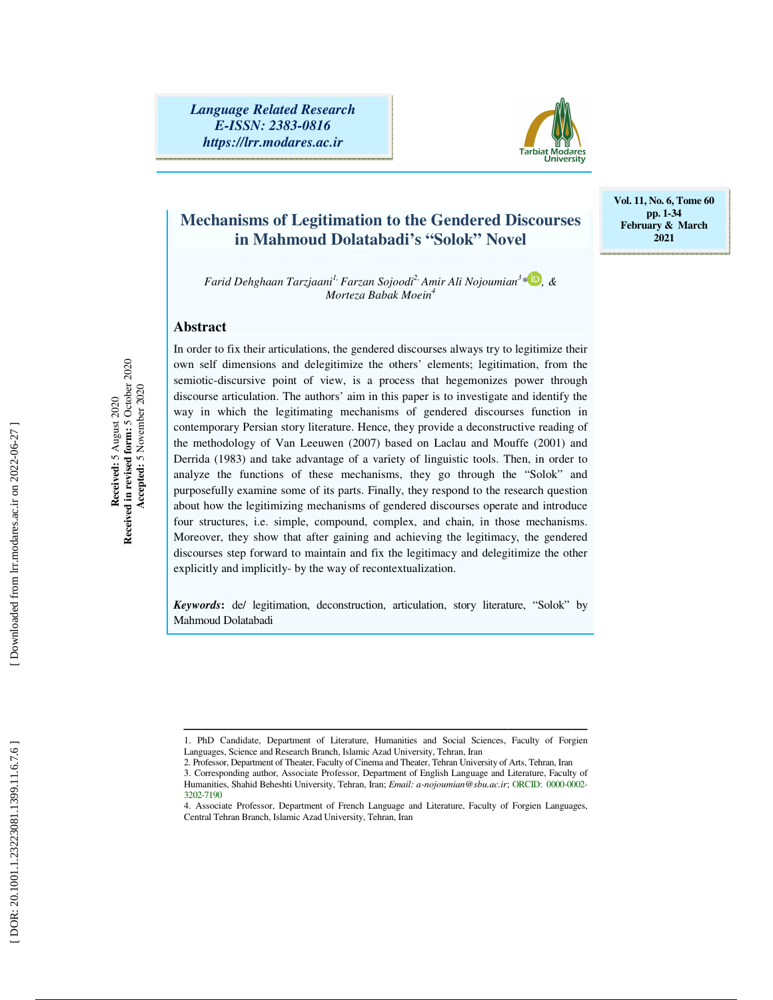

# **Mechanisms of Legitimation to the Gendered Discourses in Mahmoud Dolatabadi's "Solok" Novel**

**Vol. 11, No. 6, Tome 60 pp. 1-34 February & March 2021** 

*Farid Dehghaan Tarzjaani1, Farzan Sojoodi2, Amir Ali Nojoumian 3 \* , & Morteza Babak Moein 4*

# **Abstract**

**Received:** 5 August 2020 **Received in revised form:** 5 October 2020  **Accepted:** 5 November 2020

Received in revised form: 5 October 2020<br>Accepted: 5 November 2020 Received: 5 August 2020

In order to fix their articulations, the gendered discourses always try to legitimize their own self dimensions and delegitimize the others' elements; legitimation, from the semiotic-discursive point of view, is a process that hegemonizes power through discourse articulation. The authors' aim in this paper is to investigate and identify the way in which the legitimating mechanisms of gendered discourses function in contemporary Persian story literature. Hence, they provide a deconstructive reading of the methodology of Van Leeuwen (2007) based on Laclau and Mouffe (2001) and Derrida (1983) and take advantage of a variety of linguistic tools. Then, in order to analyze the functions of these mechanisms, they go through the "Solok" and purposefully examine some of its parts. Finally, they respond to the research question about how the legitimizing mechanisms of gendered discourses operate and introduce four structures, i.e. simple, compound, complex, and chain, in those mechanisms. Moreover, they show that after gaining and achieving the legitimacy, the gendered discourses step forward to maintain and fix the legitimacy and delegitimize the other explicitly and implicitly- by the way of recontextualization.

*Keywords***:** de/ legitimation, deconstruction, articulation, story literature, "Solok" by Mahmoud Dolatabadi

ــــــــــــــــــــــــــــــــــــــــــــــــــــــــــــــــــــــــــــــــــــــــــــــــــــــــــــــــــــــــــــــــــــــــــ 1. PhD Candidate, Department of Literature, Humanities and Social Sciences, Faculty of Forgien Languages, Science and Research Branch, Islamic Azad University, Tehran, Iran

<sup>2.</sup> Professor, Department of Theater, Faculty of Cinema and Theater, Tehran University of Arts, Tehran, Iran

<sup>3.</sup> Corresponding author, Associate Professor, Department of English Language and Literature, Faculty of Humanities, Shahid Beheshti University, Tehran, Iran; *Email: a-nojoumian@sbu.ac.ir*; ORCID: 0000-0002- 3202-7190

<sup>4.</sup> Associate Professor, Department of French Language and Literature, Faculty of Forgien Languages, Central Tehran Branch, Islamic Azad University, Tehran, Iran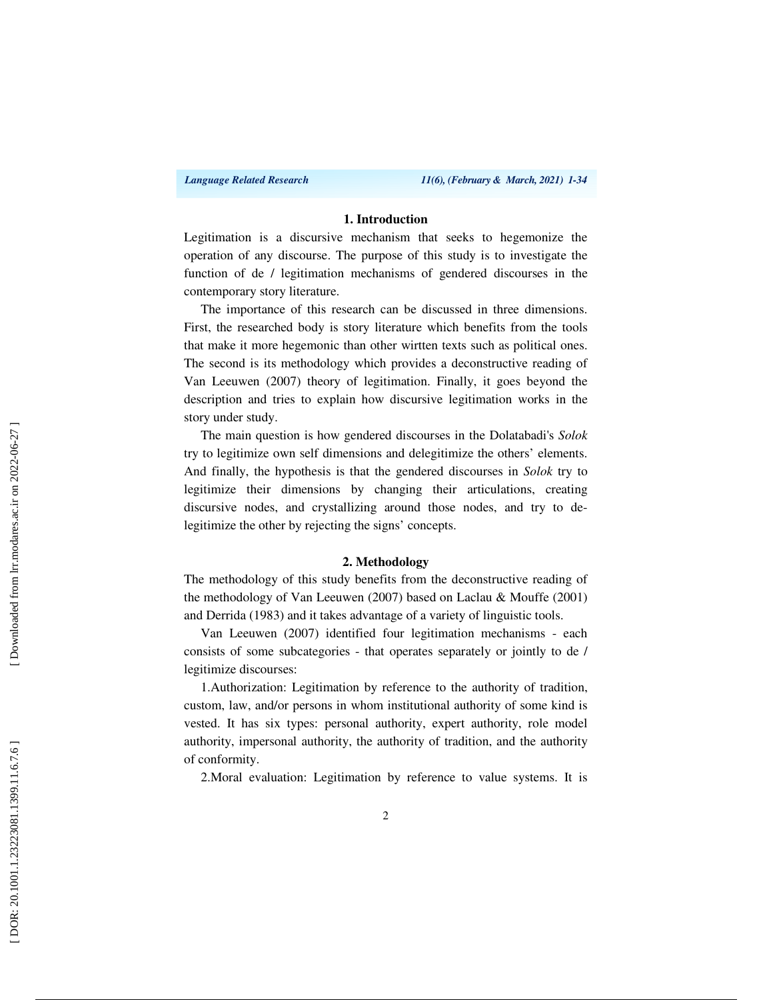#### **1. Introduction**

Legitimation is a discursive mechanism that seeks to hegemonize the operation of any discourse. The purpose of this study is to investigate the function of de / legitimation mechanisms of gendered discourses in the contemporary story literature.

The importance of this research can be discussed in three dimensions. First, the researched body is story literature which benefits from the tools that make it more hegemonic than other wirtten texts such as political ones. The second is its methodology which provides a deconstructive reading of Van Leeuwen (2007) theory of legitimation. Finally, it goes beyond the description and tries to explain how discursive legitimation works in the story under study.

The main question is how gendered discourses in the Dolatabadi's *Solok* try to legitimize own self dimensions and delegitimize the others' elements. And finally, the hypothesis is that the gendered discourses in *Solok* try to legitimize their dimensions by changing their articulations, creating discursive nodes, and crystallizing around those nodes, and try to delegitimize the other by rejecting the signs' concepts.

## **2. Methodology**

The methodology of this study benefits from the deconstructive reading of the methodology of Van Leeuwen (2007) based on Laclau & Mouffe (2001) and Derrida (1983) and it takes advantage of a variety of linguistic tools.

Van Leeuwen (2007) identified four legitimation mechanisms - each consists of some subcategories - that operates separately or jointly to de / legitimize discourses:

1.Authorization: Legitimation by reference to the authority of tradition, custom, law, and/or persons in whom institutional authority of some kind is vested. It has six types: personal authority, expert authority, role model authority, impersonal authority, the authority of tradition, and the authority of conformity.

2.Moral evaluation: Legitimation by reference to value systems. It is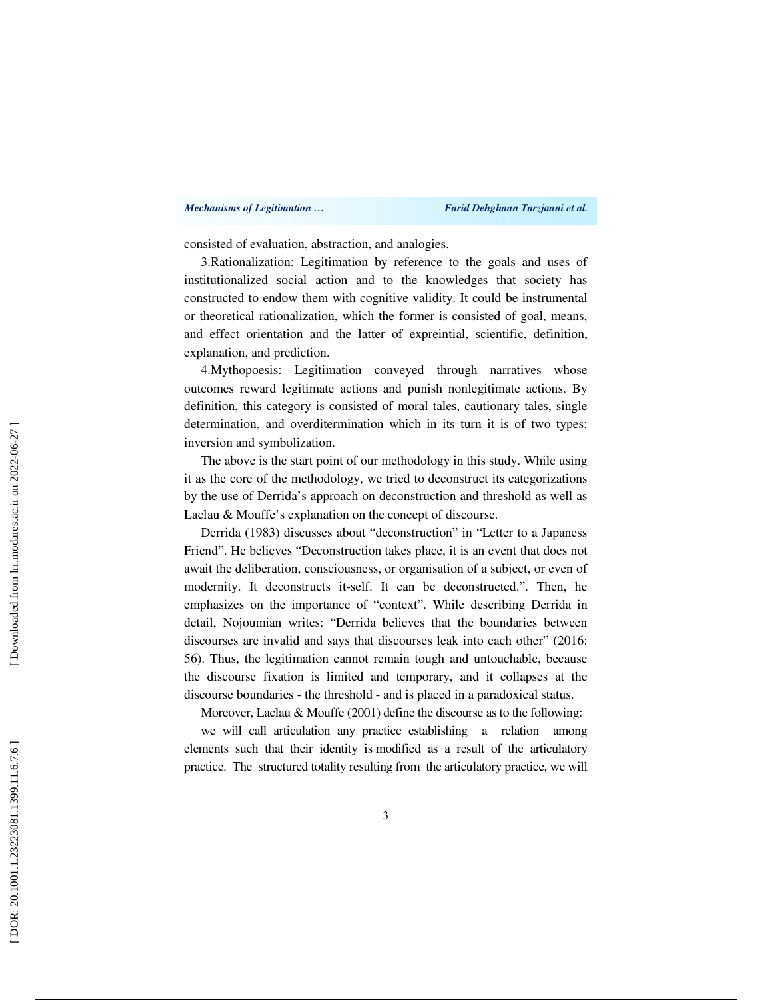#### *Mechanisms of Legitimation … Farid Dehghaan Tarzjaani et al.*

consisted of evaluation, abstraction, and analogies.

3.Rationalization: Legitimation by reference to the goals and uses of institutionalized social action and to the knowledges that society has constructed to endow them with cognitive validity. It could be instrumental or theoretical rationalization, which the former is consisted of goal, means, and effect orientation and the latter of expreintial, scientific, definition, explanation, and prediction.

4.Mythopoesis: Legitimation conveyed through narratives whose outcomes reward legitimate actions and punish nonlegitimate actions. By definition, this category is consisted of moral tales, cautionary tales, single determination, and overditermination which in its turn it is of two types: inversion and symbolization.

The above is the start point of our methodology in this study. While using it as the core of the methodology, we tried to deconstruct its categorizations by the use of Derrida's approach on deconstruction and threshold as well as Laclau & Mouffe's explanation on the concept of discourse.

Derrida (1983) discusses about "deconstruction" in "Letter to a Japaness Friend". He believes "Deconstruction takes place, it is an event that does not await the deliberation, consciousness, or organisation of a subject, or even of modernity. It deconstructs it-self. It can be deconstructed.". Then, he emphasizes on the importance of "context". While describing Derrida in detail, Nojoumian writes: "Derrida believes that the boundaries between discourses are invalid and says that discourses leak into each other" (2016: 56). Thus, the legitimation cannot remain tough and untouchable, because the discourse fixation is limited and temporary, and it collapses at the discourse boundaries - the threshold - and is placed in a paradoxical status.

Moreover, Laclau & Mouffe (2001) define the discourse as to the following:

we will call articulation any practice establishing a relation among elements such that their identity is modified as a result of the articulatory practice. The structured totality resulting from the articulatory practice, we will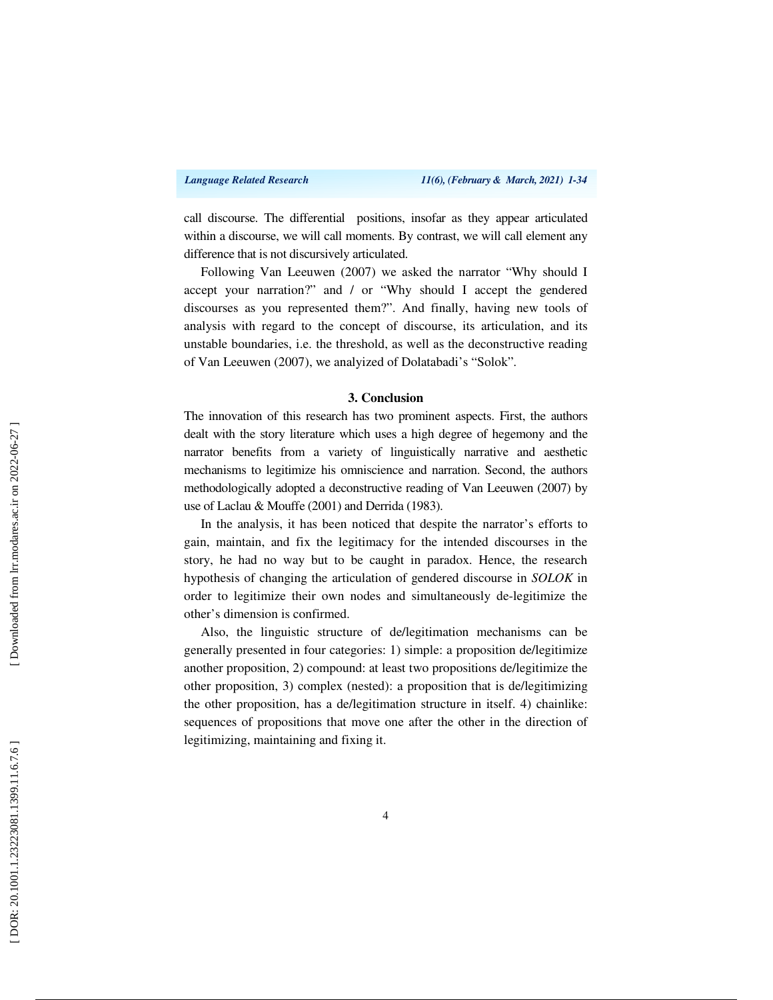call discourse. The differential positions, insofar as they appear articulated within a discourse, we will call moments. By contrast, we will call element any difference that is not discursively articulated.

Following Van Leeuwen (2007) we asked the narrator "Why should I accept your narration?" and / or "Why should I accept the gendered discourses as you represented them?". And finally, having new tools of analysis with regard to the concept of discourse, its articulation, and its unstable boundaries, i.e. the threshold, as well as the deconstructive reading of Van Leeuwen (2007), we analyized of Dolatabadi's "Solok".

#### **3. Conclusion**

The innovation of this research has two prominent aspects. First, the authors dealt with the story literature which uses a high degree of hegemony and the narrator benefits from a variety of linguistically narrative and aesthetic mechanisms to legitimize his omniscience and narration. Second, the authors methodologically adopted a deconstructive reading of Van Leeuwen (2007) by use of Laclau & Mouffe (2001) and Derrida (1983).

In the analysis, it has been noticed that despite the narrator's efforts to gain, maintain, and fix the legitimacy for the intended discourses in the story, he had no way but to be caught in paradox. Hence, the research hypothesis of changing the articulation of gendered discourse in *SOLOK* in order to legitimize their own nodes and simultaneously de-legitimize the other's dimension is confirmed.

Also, the linguistic structure of de/legitimation mechanisms can be generally presented in four categories: 1) simple: a proposition de/legitimize another proposition, 2) compound: at least two propositions de/legitimize the other proposition, 3) complex (nested): a proposition that is de/legitimizing the other proposition, has a de/legitimation structure in itself. 4) chainlike: sequences of propositions that move one after the other in the direction of legitimizing, maintaining and fixing it.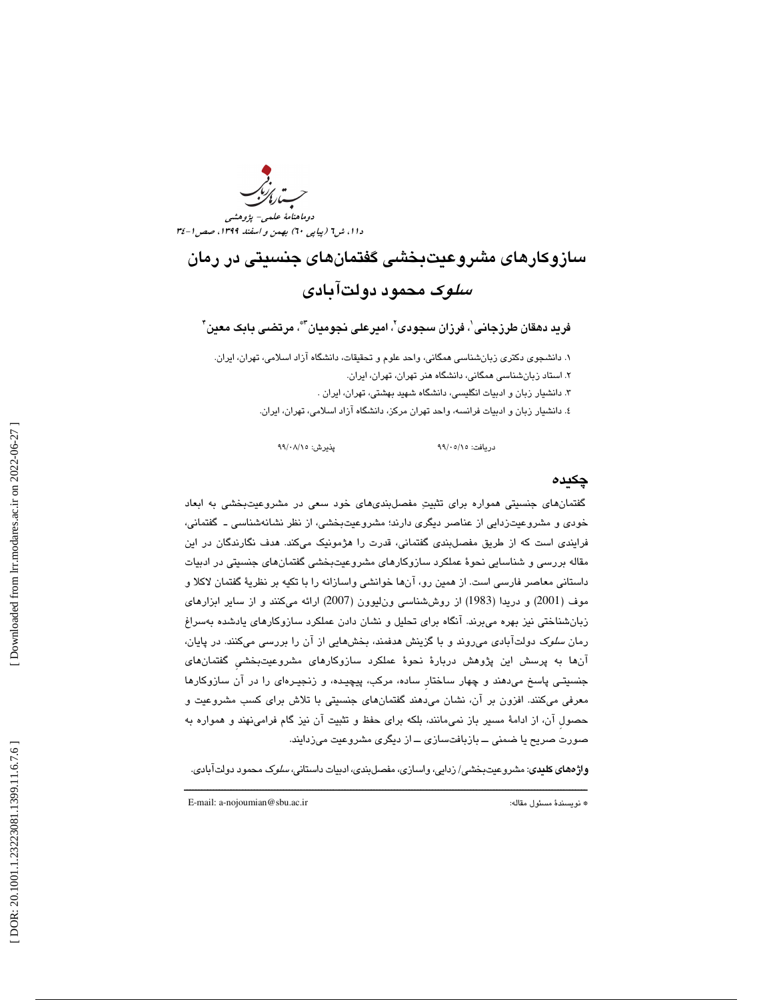دوماهنامة علمي- پژوهشي دا ۱، ش1 (پياپي ٦٠) بهمن و اسفند ١٣٩٩، صص ١-٣٤

# سازوكارهاي مشروعيتبخشي گفتمانهاي جنسيتي در رمان سلوك محمود دولتآبادي

فريد دهقان طرزجانى ٰ، فرزان سجودى'ّ، اميرعلى نجوميان''َّ، مرتضى بابک معين'َ

1. دانشجوي دكتري زبانشناسي همگاني، واحد علوم و تحقيقات، دانشگاه آزاد اسلامي، تهران، ايران. 2. استاد زبانشناسي همگاني، دانشگاه هنر تهران، تهران، ايران. 3. دانشيار زبان و ادبيات انگليسي، دانشگاه شهيد بهشتي، تهران، ايران . 4. دانشيار زبان و ادبيات فرانسه، واحد تهران مركز، دانشگاه آزاد اسلامي، تهران، ايران.

99 99 پذيرش: 15/ /08

دريافت: 15/ /05

# چكيده

گفتمانهاي جنسيتي همواره براي تثبيت مفصلبنديهاي خود سعي در مشروعيتبخشي به ابعاد خودي و مشروعيتزدايي از عناصر ديگري دارند؛ مشروعيتبخشي، از نظر نشانهشناسي ـ گفتماني، فرايندي است كه از طريق مفصل بندي گفتماني، قدرت را هژمونيك مي كند. هدف نگارندگان در اين مقاله بررسي و شناسايي نحوة عملكرد سازوكارهاي مشروعيتبخشي گفتمانهاي جنسيتي در ادبيات داستاني معاصر فارسي است. از همين رو، آنها خوانشي واسازانه را با تكيه بر نظرية گفتمان لاكلا و موف (2001) و دريدا (1983) از روششناسي ونليوون (2007) ارائه ميكنند و از ساير ابزارهاي زبانشناختي نيز بهره ميبرند. آنگاه براي تحليل و نشان دادن عملكرد سازوكارهاي يادشده بهسراغ رمان سلوك دولتآبادي ميروند و با گزينش هدفمند، بخشهايي از آن را بررسي ميكنند. در پايان، آنها به پرسش اين پژوهش دربارة نحوة عملكرد سازوكارهاي مشروعيتبخشيِ گفتمانهاي جنسيتـي پاسخ ميدهند و چهار ساختارِ ساده، مركب، پيچيـده، و زنجيـرهاي را در آن سازوكارها معرفي ميكنند. افزون بر آن، نشان ميدهند گفتمانهاي جنسيتي با تلاش براي كسب مشروعيت و حصول آن، از ادامهٔ مسیر باز نمی،انند، بلکه برای حفظ و تثبیت آن نیز گام فرامینهند و همواره به صورت صريح يا ضمني ــ بازبافتسازي ــ از ديگري مشروعيت ميزدايند.

ــــــــــــــــــــــــــــــــــــــــــــــــــــــــــــــــــــــــــــــــــــــــــــــــــــــــــــــــــــــــــــــــــــــــــ **واژههاي كليدي**: مشروعيتبخشي/ زدايي، واسازي، مفصل بندي، ادبيات داستاني، *سلو*ك محمود دولتآبادي.

E-mail: a-nojoumian@sbu.ac.ir :مقاله مسئول نويسندة\*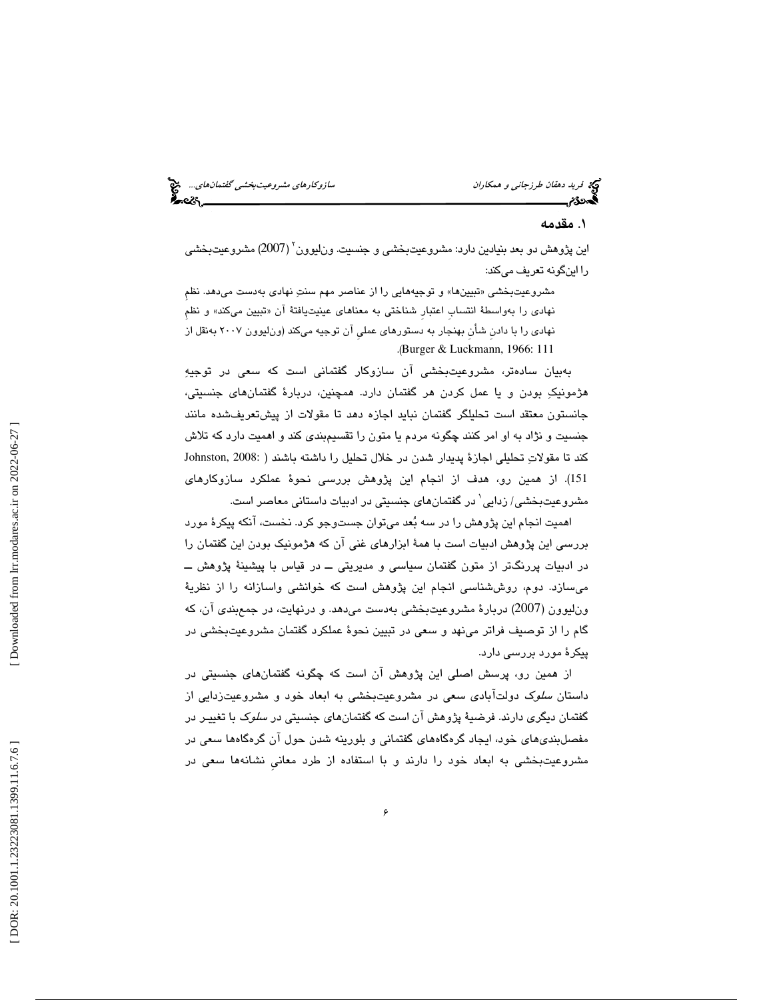### 1. مقدمه

اين پژوهش دو بعد بنيادين دارد: مشروعيتبخشي و جنسيت. ون!يوون<sup>٬</sup> (2007) مشروعيتبخشي را اينگونه تعريف ميكند:

مشروعيت بخشي «تبيينها» و توجيههايي را از عناصر مهم سنتِ نهادي بهدست مي هد. نظم نهادی را بهواسطهٔ انتساب اعتبار شناختی به معناهای عینیتیافتهٔ ان «تبیین میکند» و نظم نهادی را با دادن شأن بهنجار به دستورهای عملی ان توجیه میکند (ون!لیوون ۲۰۰۷ بهنقل از .( Burger & Luckmann, 1966: 111

 بهبيان سادهتر، مشروعيتبخشي آن سازوكار گفتماني است كه سعي در توجيه هژمونيك بودن و يا عمل كردن هر گفتمان دارد. همچنين، دربارة گفتمانهاي جنسيتي، جانستون معتقد است تحليلگر گفتمان نبايد اجازه دهد تا مقولات از پيشتعريفشده مانند جنسيت و نژاد به او امر كنند چگونه مردم يا متون را تقسيمبندي كند و اهميت دارد كه تلاش كند تا مقولاتِ تحليلي اجازة پديدار شدن در خلال تحليل را داشته باشند ( :Johnston, 2008 151 ). از همين رو، هدف از انجام اين پژوهش بررسي نحوة عملكرد سازوكارهاي مشروعیتبخشی/ زدایی` در گفتمانهای جنسیتی در ادبیات داستانی معاصر است.

كار در اين در اين در اين در اين در اين در اين در اين در اين در اين در اين در اين در اين در اين در اين در اين د<br>4. اين در اين در اين در اين در اين در اين در اين در اين در اين در اين در اين در اين در اين در اين در اين در اي اهميت انجام اين پژوهش را در سه بُعد میتوان جستوجو کرد. نخست، انکه پيکرۀ مورد بررسي اين پژوهش ادبيات است با همة ابزارهاي غني آن كه هژمونيك بودن اين گفتمان را در ادبيات پررنگتر از متون گفتمان سياسي و مديريتي ــ در قياس با پيشينة پژوهش ــ ميسازد. دوم، روششناسي انجام اين پژوهش است كه خوانشي واسازانه را از نظرية ونليوون (2007) دربارة مشروعيتبخشي بهدست ميدهد. و درنهايت، در جمعبندي آن، كه گام را از توصيف فراتر مينهد و سعي در تبيين نحوة عملكرد گفتمان مشروعيتبخشي در پيكرة مورد بررسي دارد.

 از همين رو، پرسش اصلي اين پژوهش آن است كه چگونه گفتمانهاي جنسيتي در داستان *سلوک دو*لتآبادی سعی در مشروعیتبخشی به ابعاد خود و مشروعیتزدایی از گفتمان ديگری دارند. فرضيهٔ پژوهش آن است كه گفتمانهای جنسيتی در *سلو*ک با تغييـر در مفصلبنديهاي خود، ايجاد گره گاههاي گفتماني و بلورينه شدن حول آن گره گاهها سعي در مشروعيتبخشي به ابعاد خود را دارند و با استفاده از طرد معانيِ نشانهها سعي در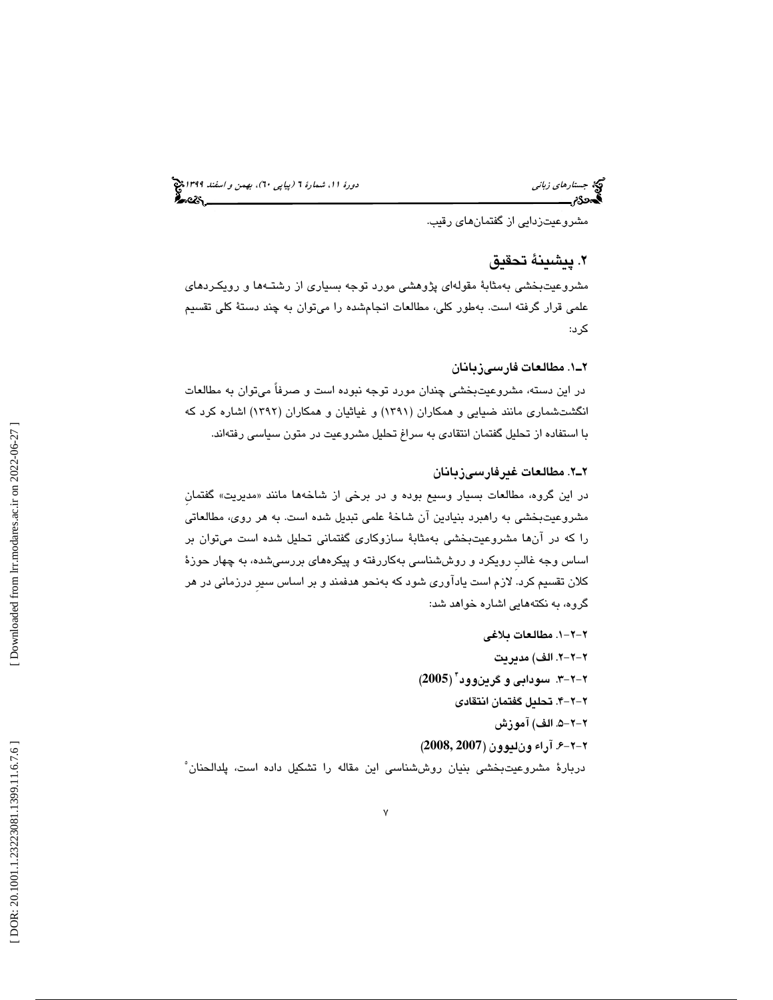مشروعيتزدايي از گفتمانهاي رقيب.

# 2. پيشينة تحقيق

مشروعيتبخشي بهمثابة مقولهاي پژوهشي مورد توجه بسياري از رشتـهها و رويكـردهاي علمي قرار گرفته است. بهطور كلي، مطالعات انجامشده را ميتوان به چند دستة كلي تقسيم كرد:

# 1ـ2 . مطالعات فارسيزبانان

در اين دسته، مشروعيتبخشي چندان مورد توجه نبوده است و صرفاً ميتوان به مطالعات انگشتشماری مانند ضیایی و همکاران (۱۳۹۱) و غیاثیان و همکاران (۱۳۹۲) اشاره کرد که با استفاده از تحليل گفتمان انتقادي به سراغ تحليل مشروعيت در متون سياسي رفتهاند.

# 2ـ2 . مطالعات غيرفارسيزبانان

در اين گروه، مطالعات بسيار وسيع بوده و در برخي از شاخهها مانند «مديريت» گفتمان مشروعيتبخشي به راهبرد بنيادين آن شاخة علمي تبديل شده است. به هر روي، مطالعاتي را كه در آنها مشروعيتبخشي بهمثابة سازوكاري گفتماني تحليل شده است ميتوان بر اساس وجه غالب رویکرد و روششناسی بهکاررفته و پیکرههای بررسیشده، به چهار حوزهٔ كلان تقسيم كرد. لازم است يادآوري شود كه بهنحو هدفمند و بر اساس سيرِ درزماني در هر گروه، به نكتههايي اشاره خواهد شد:

برامان *زباني*<br>مشروعيتزابايي از گفتمان هاي رقيبه.<br>مشروعيتزابايي از گفتمان هاي رقيبه.<br>مشروعيت بخشي به مثابة مقولهاي پژوهشي مورد توجه بسياري از<br>علمي قرار گرفته است. بهطور كلي، مطالعات انجام شده را مي توان<br>كرد:<br>كسبت مشروعيت -2-1. 2 مطالعات بلاغي -2-2. 2 الف) مديريت -2-3. 2 سودابي و گرينوود 4 ( **2005** ) -2-4. 2 تحليل گفتمان انتقادي -2-5. 2 الف) آموزش -2-6. 2 آرا ء ونليوون (**2007 2008,**) دربارة مشروعيتبخشي بنيان روششناسي اين مقاله را تشكيل داده است، پلدالحنان 5

Downloaded from lrr.modares.ac.ir on 2022-06-27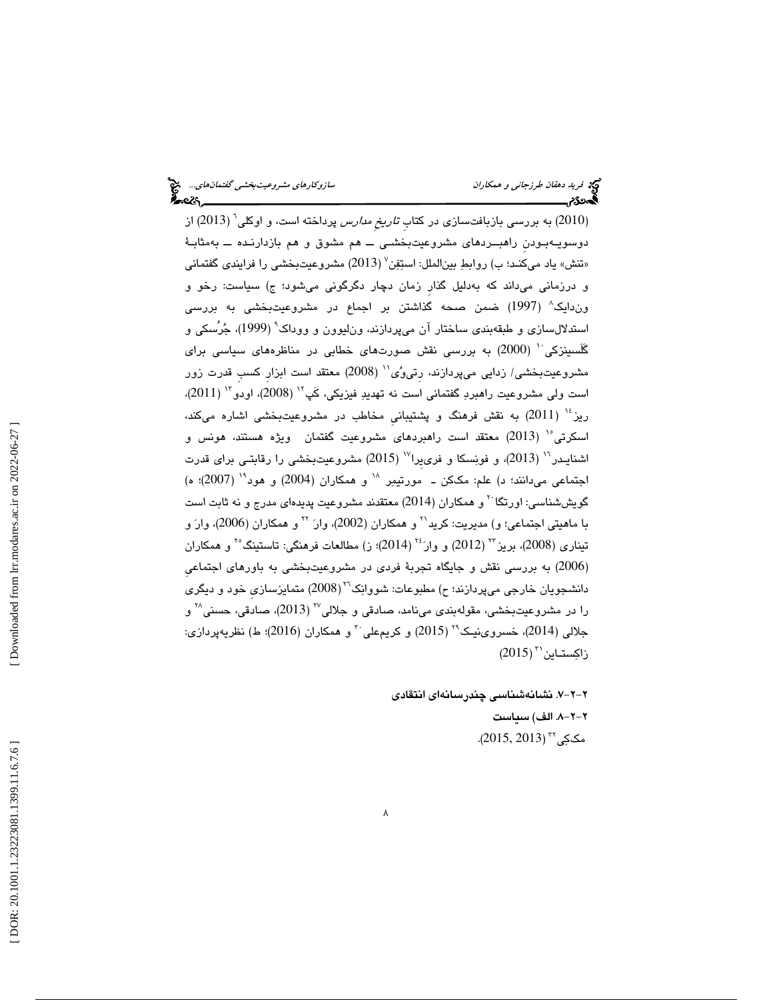حكام المحكام المحكام المحكام المحكام المحكام المحكام المحكام المحكام المحكام المحكام المحكام المحكام المحكام ا<br>المحكام المحكام المحكام المحكام المحكام المحكام المحكام المحكام المحكام المحكام المحكام المحكام المحكام المحكا 2010) به بررسي بازبافتسازي در كتابِ تاريخِ مدارس پرداخته است، و اوكلي ) 6 ( 2013) از دوسويـهبـودنِ راهبــردهاي مشروعيتبخشـي ــ هم مشوق و هم بازدارنـده ــ بهمثابـة «تنش» ياد مىكنـد؛ ب) روابطِ بين|لملل: استِفِن ٚ (2013) مشروعيتبخشى را فرايندى گفتمانى و درزمانی میداند که بهدلیل گذار زمان دچار دگرگونی میشود؛ ج) سیاست: رخو و وندايك 8 ( 1997) ضمن صحه گذاشتن بر اجماع در مشروعيتبخشي به بررسي استدلالسازی و طبقهبندی ساختار آن میپردازند، ون $\mu$ وون و ووداک $^{\circ}$  (1999)، جُرُسکی و گَلَسينزكي<sup>٦٠</sup> (2000) به بررسي نقش صورتهاي خطابي در مناظرههاي سياسي براي مشروعيتبخشي/ زدايي ميپردازند، رتيوُي'' (2008) معتقد است ابزار كسب قدرت زور است ولی مشروعیت راهبردِ گفتمانی است نه تهدیدِ فیزیکی، کَپ<sup>۱۲</sup> (2008)، اودو ۱<sup>۰۳</sup> (2011)،  $\sim$  ( يز $^{12}$  ( 2011) به نقش فرهنگ و پشتيباني مخاطب در مشروعيتبخشي اشاره ميكند، اسكرتي°<sup>י</sup> (2013) معتقد است راهبردهاي مشروعيت گفتمان ويژه هستند، هونس و اشنايـدر `` (2013)، و فونِسكا و فرىيرا `` (2015) مشروعيتبخشي را رقابتـي براي قدرت اجتماعی می دانند؛ د) علم: مككن ــ مورتيمِر `` و همكاران (2004) و هود`` (2007)؛ ه) گويششناسي: اورتگا $^\vee$  و همكاران (2014) معتقدند مشروعيت پديدهاي مدرج و نه ثابت است با ماهیتی اجتماعی؛ و) مدیریت: کرید<sup>۲٬</sup> و همکاران (2002)، وارَ <sup>۲۲</sup> و همکاران (2006)، وارَ و تیناری (2008)، بریز <sup>۲۰</sup> (2012) و وارَ<sup>۲۰</sup> (2014)؛ ز) مطالعات فرهنگی: تاستینگ <sup>۲</sup>۰ و همکاران 2006) به بررسي نقش و جايگاه تجربة فردي در مشروعيتبخشي به باورهاي اجتماعيِ ) دانشجویان خارجی میپردازند؛ ح) مطبوعات: شووانِک<sup>۲</sup>۱ (2008) متمایزسازی خود و دیگری را در مشروعیتبخشی، مقولهبندی مینامد، صادقی و جلالی<sup>۳</sup> (2013)، صادقی، حسنی<sup>۲۸</sup> و جلالی (2014)، خسروینیک<sup>۲۹</sup> (2015) و کریم،علی<sup>۳۰</sup> و همکاران (2016)؛ ط) نظریهپردازی: زاكِستـاين`` (2015)

 -2-7. 2 نشانهشناسي چندرسانهاي انتقادي -2-8. 2 الف) سياست  $(2015, 2013)$  ^  $\sim$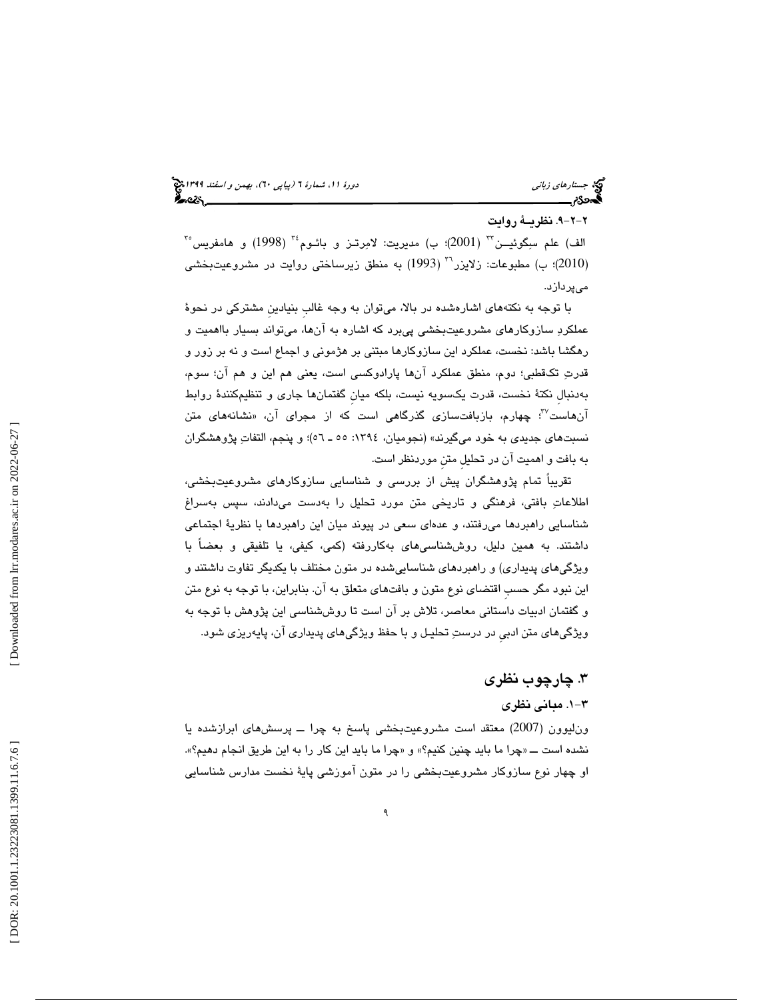# -2-9. 2 نظريـة روايت

 $^{\mathsf{r}}$ الف) علم سلِگوئیــن $^{\mathsf{r}\mathsf{r}}$  (2001)؛ ب) مدیریت: لامِرتــز و بائـوم $^{\mathsf{r}\mathsf{r}}$  (1998) و هامفریس ) مطبوعات: زلايزر 2010)؛ ب ) ( 1993) به منطق زيرساختي روايت در مشروعيتبخشي <sup>36</sup> ميپردازد.

با توجه به نكتههاي اشارهشده در بالا، ميتوان به وجه غالبِ بنيادينِ مشتركي در نحوة عملكرد سازوكارهاي مشروعيتبخشي پيبرد كه اشاره به آنها، ميتواند بسيار بااهميت و رهگشا باشد: نخست، عملكرد اين سازوكارها مبتني بر هژموني و اجماع است و نه بر زور و قدرت تكقطبي؛ دوم، منطق عملكرد آنها پارادوكسي است ، يعني هم اين و هم آن؛ سوم، بهدنبالِ نكتة نخست، قدرت يكسويه نيست ، بلكه ميانِ گفتمانها جاري و تنظيمكنندة روابط آنهاست<sup>۳</sup>ٌ؛ چهارم، بازبافتسازی گذرگاهی است كه از مجرای آن، «نشانههای متن نسبتهاي جديدي به خود ميگيرند» (نجوميان ، :1394 ـ 55 ؛)56 و پنجم، التفات پژوهشگران به بافت و اهميت آن در تحليلِ متنِ موردنظر است.

بركامات *زباني دورة المراكام المراكام المراكام المراكام المراكام المراكام المراكام المراكام المراكام المراكام الشهائذ الذات الذات الذات الذات الذات الذات الذات الذات الذات الذات الذات الذات الذات الذات الذات الذات الذات ا* تقريباً تمام پژوهشگران پيش از بررسي و شناسايي سازوكارهاي مشروعيتبخشي، اطلاعات بافتي، فرهنگي و تاريخي متن مورد تحليل را بهدست ميدادند، سپس بهسراغ شناسايي راهبردها مي رفتند، و عدهاي سعي در پيوند ميان اين راهبردها با نظرية اجتماعي داشتند. به همین دلیل، روششناسی،ای بهکاررفته (کمی، کیفی، یا تلفیقی و بعضاً با ويژگيهاي پديداري) و راهبردهاي شناساييشده در متون مختلف با يكديگر تفاوت داشتند و اين نبود مگر حسبِ اقتضاي نوع متون و بافتهاي متعلق به آن. بنابراين، با توجه به نوع متن و گفتمان ادبيات داستاني معاصر، تلاش بر آن است تا روششناسي اين پژوهش با توجه به ويژگيهاي متن ادبيِ در درست تحليـل و با حفظ ويژگيهاي پديداري آن، پايهريزي شود.

# 3. چارچوب نظري

# -1 3 . مباني نظري

ون ليوون (2007) معتقد است مشروعيتبخشى پاسخ به چرا ــ پرسشهاى ابرازشده يا نشده است ــ «چرا ما بايد چنين كنيم؟» و «چرا ما بايد اين كار را به اين طريق انجام دهيم؟». او چهار نوع سازوكار مشروعيتبخشي را در متون آموزشي پايهٔ نخست مدارس شناسايي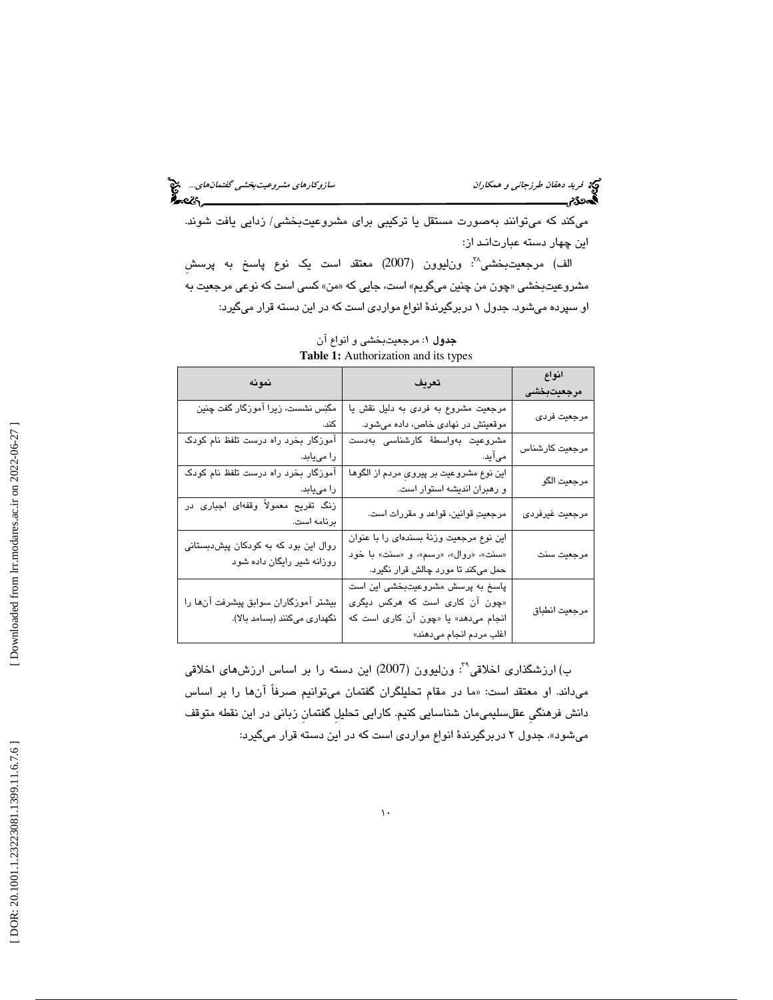ميكند كه ميتوانند بهصورت مستقل يا تركيبي براي مشروعيتبخشي/ زدايي يافت شوند. اين چهار دسته عبارتانـد از:

الف) مرجعيتبخشي<sup>٪</sup>: ون¦يوون (2007) معتقد است يک نوع پاسخ به پرسشِ مشروعيتبخشي «چون من چنين ميگويم» است، جايي كه «من» كسي است كه نوعي مرجعيت به او سپرده ميشود. جدول ۱ دربرگيرندهٔ انواع مواردي است كه در اين دسته قرار ميگيرد:

| نمونه                                                                | تعريف                                                                                                                                 | انواع<br>مرجعيتبخشى |
|----------------------------------------------------------------------|---------------------------------------------------------------------------------------------------------------------------------------|---------------------|
| مگنِس نشست، زیرا آموزگار گفت چنین<br>کند.                            | مرجعیت مشروع به فردی به دلیل نقش یا<br>موقعیتش در نهادی خاص، داده میشود.                                                              | مرجعيت فردي         |
| آموزگار بخرد راه درست تلفظ نام کودک<br>را مییابد.                    | مشروعيت بەواسطۀ كارشناسى بەدست<br>میآید.                                                                                              | مرجعيت كارشناس      |
| آموزگار بخرد راه درست تلفظ نام کودک<br>را مییابد.                    | این نوع مشروعیت بر پیروی مردم از الگوها<br>و رهبران اندیشه استوار است.                                                                | مرجعيت الگو         |
| زنگ تفریح معمولاً وقفهای اجباری در<br>برنامه است.                    | مرجعيتِ قوانين، قواعد و مقررات است.                                                                                                   | مرجعيت غيرفردي      |
| روال این بود که به کودکان پیشدبستانی<br>روزانه شیر رایگان داده شود   | این نوع مرجعیت وزنهٔ بسندهای را با عنوان<br>«سنت»، «روال»، «رسم»، و «سنت» با خود<br>حمل میکند تا مورد چالش قرار نگیرد.                | مرجعيت سنت          |
| بیشتر آموزگاران سوابق پیشرفت آنها را<br>نگهداری میکنند (بسامد بالا). | پاسخ به پرسش مشروعیتبخشی این است<br>«چون آن کاری است که هرکس دیگری<br>انجام می دهد» یا «چون آن کاری است که<br>اغلب مردم انجام میدهند» | مرجعيت انطباق       |

**جدول ۱**: مرجعيتبخشي و انواع آن : **Table 1:** Authorization and its types

ب) ارزشگذاری اخلاقی<sup>۲۹</sup>: ون $\mu$ ون (2007) این دسته را بر اساس ارزشهای اخلاقی میداند. او معتقد است: «ما در مقام تحلیلگران گفتمان میتوانیم صرفا انها را بر اساس دانش فرهنگیِ عقلسلیمیمان شناسایی كنیم. كارایی تحلیلِ گفتمانِ زبانی در این نقطه متوقف<br>میشود». جدول ۲ دربرگیرندهٔ انواع مواردی است كه در این دسته قرار میگیرد: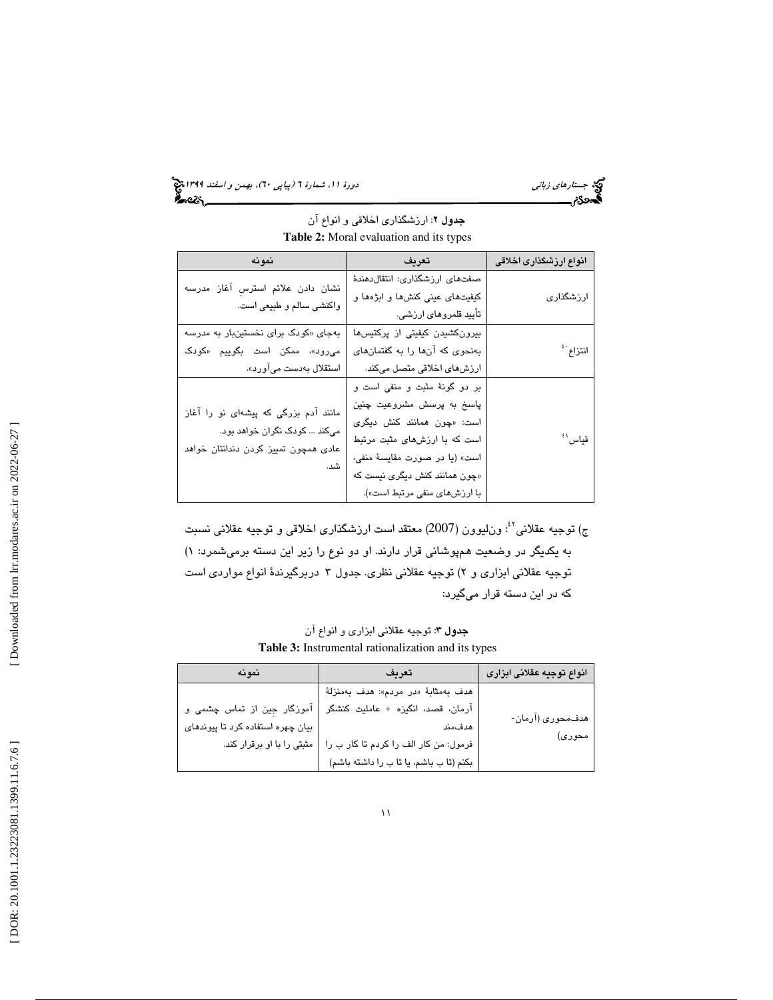جستار*هاي زباني (بيابي 139) ويونيو (بيابي نيمارة 1 (پياپي -1*)، بهمن و *اسفند 1*991 مج

| نمونه                                | تعريف                           | انواع ارزشگذاری اخلاقی |
|--------------------------------------|---------------------------------|------------------------|
| نشان دادن علائم استرس آغاز مدرسه     | صفتهای ارزشگذاری: انتقال دهندهٔ |                        |
|                                      | کیفیتهای عینی کنشها و ابژهها و  | ارزشگذار <i>ی</i>      |
| واكنشى سالم و طبيعي است.             | تأیید قلمروهای ارزشی.           |                        |
| بهجای «کودک برای نخستینبار به مدرسه  | بیرونکشیدن کیفیتی از پرکتیسها   |                        |
| میرود»، ممکن است بگوییم «کودک        | بهنحوی که آنها را به گفتمانهای  | انتزاع بأ              |
| استقلال بەدست مىآورد».               | ارزشهای اخلاقی متصل میکند.      |                        |
|                                      | بر دو گونهٔ مثبت و منفی است و   |                        |
| مانند آدم بزرگی که پیشهای نو را آغاز | پاسخ به پرسش مشروعیت چنین       |                        |
| میکند  کودک نگران خواهد بود.         | است: «چون همانند کنش دیگری      |                        |
| عادی همچون تمییز کردن دندانتان خواهد | است که با ارزشهای مثبت مرتبط    | قياس ``                |
|                                      | است» (يا در صورت مقايسة منفى،   |                        |
| شد.                                  | «چون همانند کنش دیگری نیست که   |                        |
|                                      | با ارزشهای منفی مرتبط است»).    |                        |

جدول 2: ارزشگذاري اخلاقي و انواع آن **Table 2:** Moral evaluation and its types

ج) توجيه عقلانيَّ': ون!ليوون (2007) معتقد است ارزشگذاری اخلاقی و توجيه عقلانی نسبت به يكديگر در وضعيت همپوشاني قرار دارند. او دو نوع را زير اين دسته برميشمرد: ) 1 توجيه عقلاني ابزاري و ۲) توجيه عقلاني نظري. جدول ۳ دربرگيرندهٔ انواع مواردي است كه در اين دسته قرار ميگيرد:

جدول 3: توجيه عقلاني ابزاري و انواع آن **Table 3:** Instrumental rationalization and its types

| نمونه                             | تعريف                                   | انواع توجيه عقلانى ابزارى |
|-----------------------------------|-----------------------------------------|---------------------------|
|                                   | ھدف بەمثابۀ «در مردم»: ھدف بەمنزلهٔ     |                           |
| آموزگار جِین از تماس چشمی و       | آرمان، قصد، انگیزه + عاملیت کنشگر       | هدف،حوري (آرمان-          |
| بیان چهره استفاده کرد تا پیوندهای | هدفمند                                  |                           |
| مثبتی را با او برقرار کند.        | فرمول: من كار الف را كردم تا كار ب را   | محوري)                    |
|                                   | بكنم (تا ب باشم، يا تا ب را داشته باشم) |                           |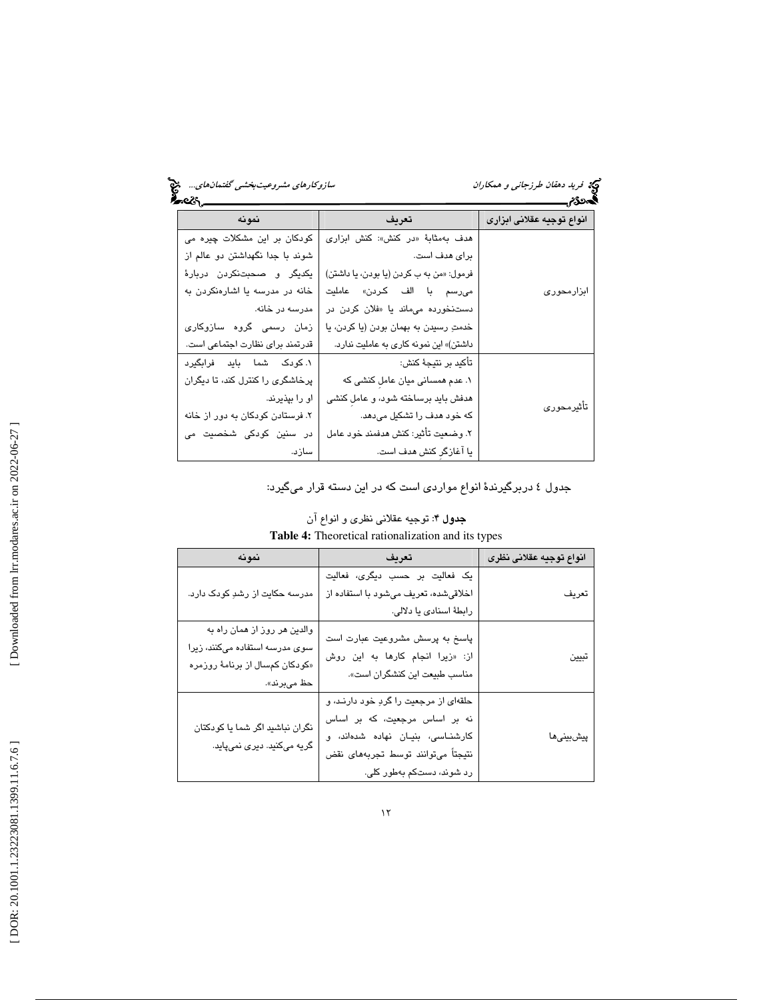| انواع توجيه عقلانى ابزارى | تعريف                                    | نمونه                            |
|---------------------------|------------------------------------------|----------------------------------|
| ابزارمحور <i>ی</i>        | هدف بهمثابهٔ «در کنش»: کنش ابزاری        | کودکان بر این مشکلات چیره می     |
|                           | برای هدف است.                            | شوند با جدا نگهداشتن دو عالم از  |
|                           | فرمول: «من به ب كردن (يا بودن، يا داشتن) | یکدیگر و صحبتنکردن دربارهٔ       |
|                           | مى رسم با الف كردن» عامليت               | خانه در مدرسه یا اشارهنکردن به   |
|                           | دستنخورده می ماند یا «فلان کردن در       | مدرسه در خانه.                   |
|                           | خدمتِ رسيدن به بهمان بودن (يا كردن، يا   | زمان رسمی گروه سازوکاری          |
|                           | داشتن)» این نمونه کاری به عاملیت ندارد.  | قدرتمند برای نظارت اجتماعی است.  |
| تأثيرمحوري                | تأكيد بر نتيجهٔ كنش:                     | ١. کودک شما باید فرابگیرد        |
|                           | ١. عدم همسانی میان عامل کنشی که          | پرخاشگری را کنترل کند، تا دیگران |
|                           | هدفش باید برساخته شود، و عامل کنشی       | او را بپذیرند.                   |
|                           | که خود هدف را تشکیل میدهد.               | ۲. فرستادن کودکان به دور از خانه |
|                           | ٢. وضعيت تأثير: كنش هدفمند خود عامل      | در سنین کودکی شخصیت می           |
|                           | یا آغازگر کنش هدف است.                   | سازد.                            |

جدول ٤ دربرگيرندهٔ انواع مواردي است كه در اين دسته قرار ميگيرد:

| <b>Tuble</b> 1. Theoretical rationalization and no types                                                         |                                                                                                                                                                              |                         |
|------------------------------------------------------------------------------------------------------------------|------------------------------------------------------------------------------------------------------------------------------------------------------------------------------|-------------------------|
| نمونه                                                                                                            | تعريف                                                                                                                                                                        | انواع توجيه عقلانى نظرى |
| مدرسه حکایت از رشدِ کودک دارد.                                                                                   | یک فعالیت بر حسب دیگری، فعالیت<br>اخلاقی شده، تعریف می شود با استفاده از                                                                                                     | تعريف                   |
|                                                                                                                  | رابطهٔ اسنادی یا دلالی.                                                                                                                                                      |                         |
| والدین هر روز از همان راه به<br>سوی مدرسه استفاده میکنند، زیرا<br>«کودکان کمسال از برنامهٔ روزمره<br>حظ مىبرند». | پاسخ به پرسش مشروعیت عبارت است<br>از: «زيرا انجام كارها به اين روش<br>مناسب طبيعت اين كنشگران است».                                                                          | تبيين                   |
| نگران نباشید اگر شما یا کودکتان<br>گریه میکنید. دیری نمیپاید.                                                    | حلقهای از مرجعیت را گردِ خود دارند، و<br>نه بر اساس مرجعیت، که بر اساس<br>كارشناسى، بنيان نهاده شدهاند، و<br>نتيجتاً مىتوانند توسط تجربههاى نقض<br>رد شوند، دستکم بهطور کلی. | پیشبینیها               |

جدول 4: توجيه عقلاني نظري و انواع آن **Table 4:** Theoretical rationalization and its types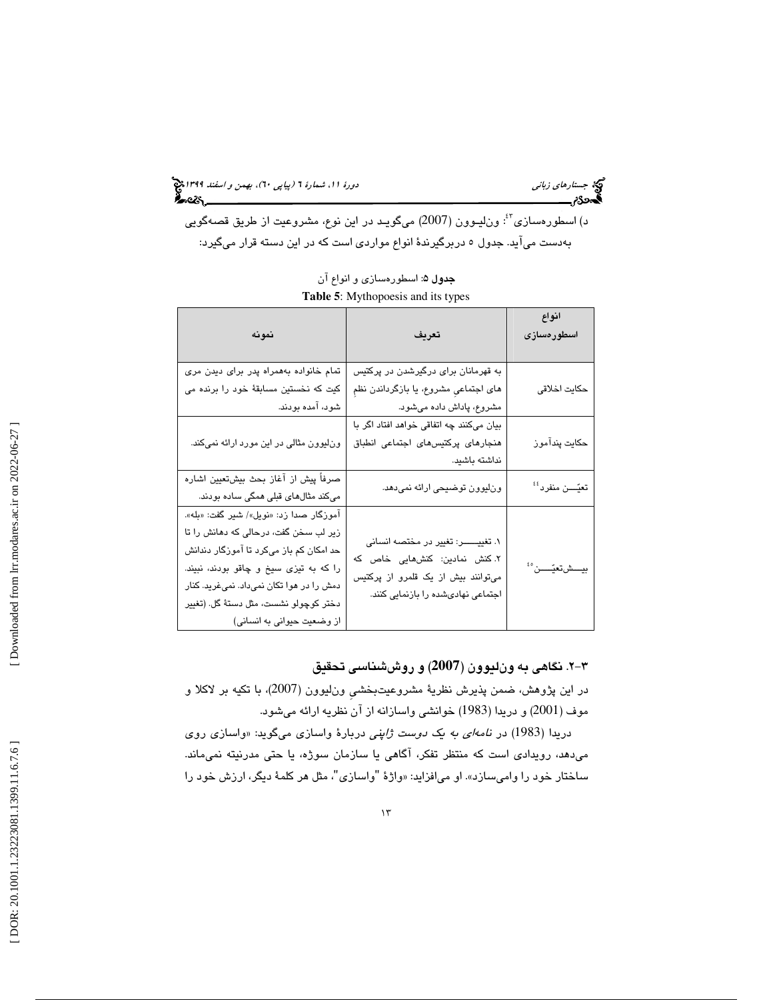جستار*هاي زباني (بيابي 139) ويونيو (بيابي نيمارة 1 (پياپي -1*)، بهمن و *اسفند 1*991 مج

د) اسطورهسازي<sup>؟؛</sup>: ونليـوون (2007) ميگويـد در اين نوع، مشروعيت از طريق قصهگويي بهدست ميآيد. جدول ٥ دربرگيرندهٔ انواع مواردي است كه در اين دسته قرار ميگيرد:

| <b>Lable</b> 5. <b>IVEY</b> HID POUSIS and its types                                                                                                                                                                                                                                      |                                                                                                                                                     |                              |
|-------------------------------------------------------------------------------------------------------------------------------------------------------------------------------------------------------------------------------------------------------------------------------------------|-----------------------------------------------------------------------------------------------------------------------------------------------------|------------------------------|
| نمونه                                                                                                                                                                                                                                                                                     | تعريف                                                                                                                                               | انواع<br>اسطورەسازى          |
| تمام خانواده بههمراه پدر برای دیدن مری<br>کیت که نخستین مسابقهٔ خود را برنده می<br>شود، آمده بودند.                                                                                                                                                                                       | به قهرمانان برای درگیرشدن در پرکتیس<br>های اجتماعی مشروع، یا بازگرداندن نظم<br>مشروع، پاداش داده میشود.                                             | حكايت اخلاقى                 |
| ونایوون مثالی در این مورد ارائه نمیکند.                                                                                                                                                                                                                                                   | بیان میکنند چه اتفاقی خواهد افتاد اگر با<br>هنجارهای پرکتیس های اجتماعی انطباق<br>نداشته باشید.                                                     | حكايت پندآموز                |
| صرفاً پیش از آغاز بحث بیشتعیین اشاره<br>میکند مثالهای قبلی همگی ساده بودند.                                                                                                                                                                                                               | ونليوون توضيحي ارائه نميدهد.                                                                                                                        | تعيّـــن منفرد <sup>؛؛</sup> |
| آموزگار صدا زد: «نویل»/ شیر گفت: «بله».<br>زیر لب سخن گفت، درحالی که دهانش را تا<br>حد امکان کم باز میکرد تا آموزگار دندانش<br>را که به تیزی سیخ و چاقو بودند، نبیند.<br>دمش را در هوا تکان نمیداد. نمیفرید. کنار<br>دختر كوچولو نشست، مثل دستهٔ گل. (تغییر<br>از وضعیت حیوانی به انسانی) | ١. تغييـــــــر: تغيير در مختصه انساني<br>۲. کنش نمادین: کنشهایی خاص که<br>میتوانند بیش از یک قلمرو از پرکتیس<br>اجتماعی نهادیشده را بازنمایی کنند. | بيـــشتعيّــــن°'            |

**جدول ۵**: اسطورهساز*ی* و انواع آن **Table 5**: Mythopoesis and its types

# -2 3 . نگاهي به ونليوون (**2007**) و روششناسي تحقيق

در اين پژوهش، ضمن پذيرش نظرية مشروعيتبخشيِ ونليوون (2007)، با تكيه بر لاكلا و موف (2001) و دريدا (1983) خوانشي واسازانه از آن نظريه ارائه ميشود.

دريدا (1983) در ن*امهای به يک دوست ژاپني د*ربارهٔ واسازی میگويد: «واسازی روی ميدهد، رويدادي است كه منتظر تفكر، آگاهي يا سازمان سوژه، يا حتي مدرنيته نميماند. ساختار خود را واميسازد». او ميافزايد: «واژهٔ "واسازي"، مثل هر كلمهٔ ديگر، ارزش خود را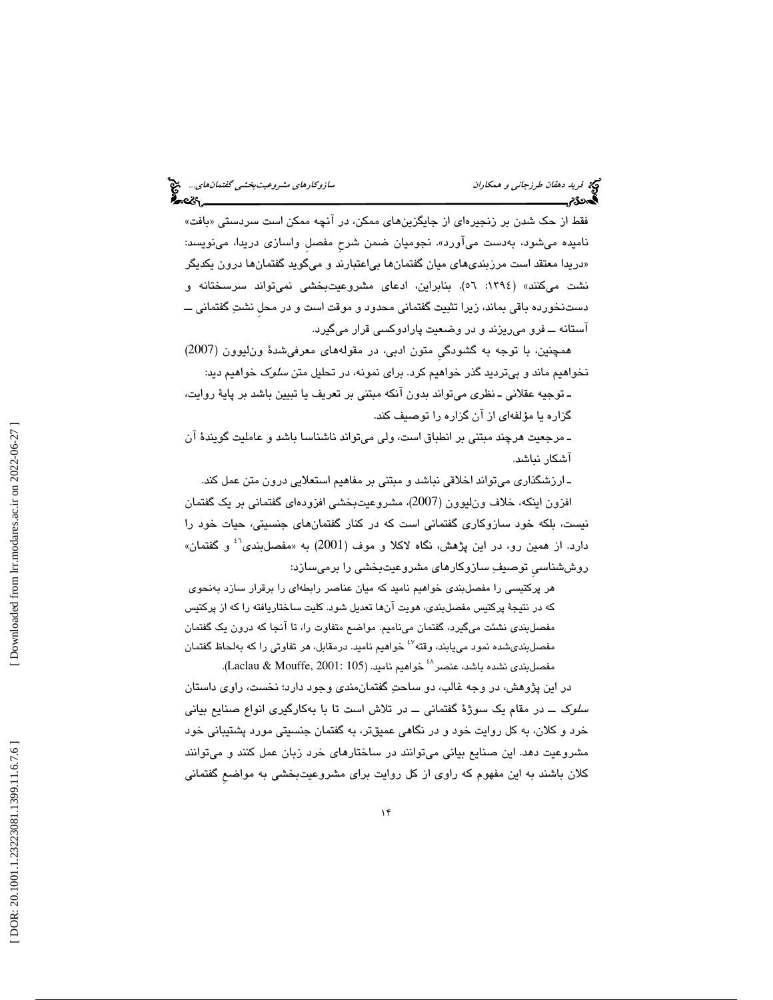فقط از حک شدن بر زنجیرهای از جایگزینهای ممکن، در انچه ممکن است سردستی «بافت» ناميده ميشود، بهدست ميآورد». نجوميان ضمن شرحِ مفصلِ واسازي دريدا، مينويسد: دريدا معتقد است مرزبنديهاي ميان گفتمانها بياعتبارند و ميگويد گفتمانها درون يكديگر » نشت ميكنند» (١٣٩٤: ٥٦). بنابراين، ادعاى مشروعيتبخشي نميتواند سرسختانه و دستنخورده باقي بماند، زيرا تثبيت گفتماني محدود و موقت است و در محل نشتِ گفتماني ـــ آستانه ــ فرو ميريزند و در وضعيت پارادوكسي قرار ميگيرد.

همچنين، با توجه به گشودگيِ متون ادبي، در مقولههاي معرفيشدة ونليوون (2007) نخواهيم ماند و بيترديد گذر خواهيم كرد. براي نمونه، در تحليل متن سلوك خواهيم ديد:

ـ توجيه عقلاني ـ نظري ميتواند بدون آنكه مبتني بر تعريف يا تبيين باشد بر پاية روايت، گزاره يا مؤلفهاي از آن گزاره را توصيف كند.

ـ مرجعيت هرچند مبتني بر انطباق است، ولي ميتواند ناشناسا باشد و عامليت گويندة آن آشكار نباشد.

ـ ارزشگذاري ميتواند اخلاقي نباشد و مبتني بر مفاهيم استعلايي درون متن عمل كند. افزون اينكه، خلاف ون|ليوون (2007)، مشروعيتبخشي افزودهاي گفتماني بر يک گفتمان نيست ، بلكه خود سازوكاري گفتماني است كه در كنار گفتمانهاي جنسيتي، حيات خود را دارد. از همین رو، در این پژهش، نگاه لاکلا و موف (2001) به «مفصلبندی<sup>۶</sup>ْ و گفتمان» روششناسيِ توصيف سازوكارهاي مشروعيتبخشي را برميسازد:

هر پركتيسي را مفصلبندي خواهيم ناميد كه ميان عناصر رابطهاي را برقرار سازد بهنحوي كه در نتيجة پركتيس مفصلبندي، هويت آنها تعديل شود. كليت ساختاريافته را كه از پركتيس مفصلبندي نشئت ميگيرد، گفتمان ميناميم. مواضع متفاوت را، تا آنجا كه درون يك گفتمان مفصلبندىشده نمود مىيابند، وقته<sup>٤٧</sup> خواهيم ناميد. درمقابل، هر تفاوتي را كه بهلحاظ گفتمان خواهيم ناميد. (105 2001: ,Mouffe & Laclau . (<sup>48</sup> مفصلبندي نشده باشد، عنصر

در اين پژوهش، در وجه غالب، دو ساحت گفتمانمندي وجود دارد؛ نخست، راوي داستان سلوك ــ در مقام يك سوژة گفتماني ــ در تلاش است تا با بهكارگيري انواع صنايع بياني خرد و كلان، به كل روايت خود و در نگاهي عميقتر، به گفتمان جنسيتي مورد پشتيباني خود مشروعيت دهد. اين صنايع بياني ميتوانند در ساختارهاي خرد زبان عمل كنند و ميتوانند كلان باشند به اين مفهوم كه راوي از كل روايت براي مشروعيتبخشي به مواضعِ گفتماني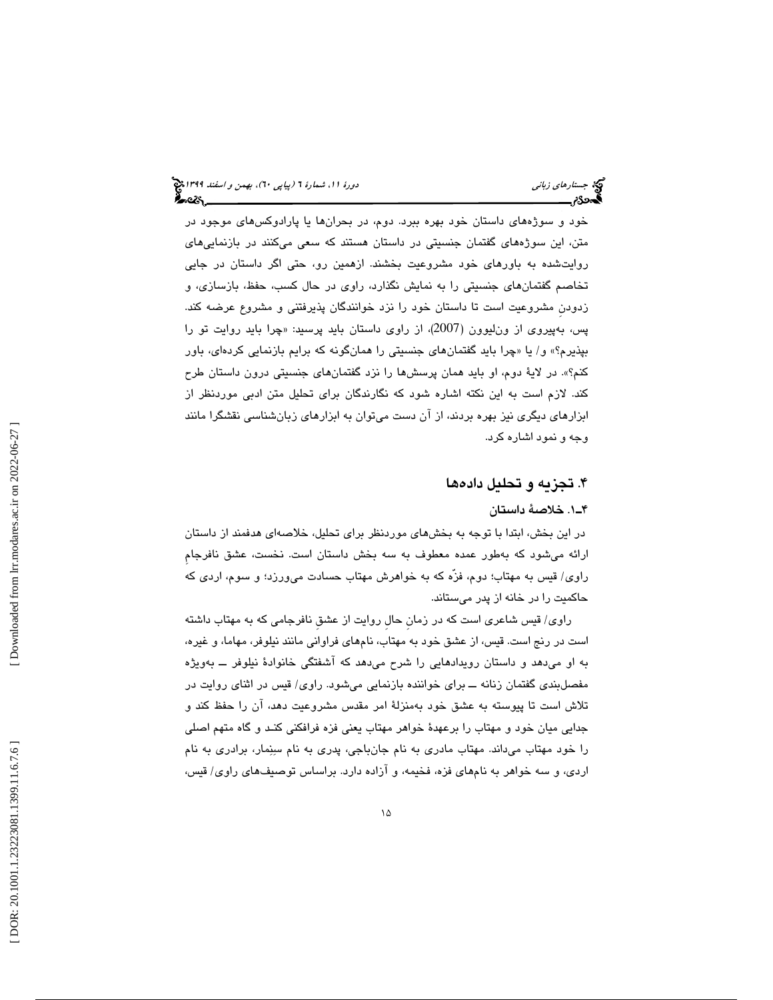خود و سوژههاي داستان خود بهره ببرد. دوم، در بحرانها يا پارادوكسهاي موجود در متن، اين سوژههاي گفتمان جنسيتي در داستان هستند كه سعي ميكنند در بازنماييهاي روايتشده به باورهاي خود مشروعيت بخشند. ازهمين رو، حتي اگر داستان در جايي تخاصم گفتمانهاي جنسيتي را به نمايش نگذارد، راوي در حال كسب، حفظ، بازسازي، و زدودنِ مشروعيت است تا داستان خود را نزد خوانندگان پذيرفتني و مشروع عرضه كند. چرا بايد روايت تو را پس، بهپيروي از ونليوون (2007)، از راوي داستان بايد پرسيد: « بپذیرم؟» و/ یا «چرا باید گفتمان $\bm{s}$ ای جنسیتی را همانگونه كه برایم بازنمایی كردهای، باور كنم؟ .» در لاية دوم، او بايد همان پرسشها را نزد گفتمانهاي جنسيتي درون داستان طرح كند. لازم است به اين نكته اشاره شود كه نگارندگان براي تحليل متن ادبي موردنظر از ابزارهاي ديگري نيز بهره بردند ، از آن دست ميتوان به ابزارهاي زبانشناسي نقشگرا مانند وجه و نمود اشاره كرد.

# 4. تجزيه و تحليل دادهها

### 1ـ4 . خلاصة داستان

در اين بخش، ابتدا با توجه به بخشهاي موردنظر براي تحليل، خلاصهاي هدفمند از داستان ارائه ميشود كه بهطور عمده معطوف به سه بخش داستان است. نخست، عشق نافرجامِ راوي/ قيس به مهتاب؛ دوم، فزّه كه به خواهرش مهتاب حسادت ميورزد؛ و سوم، اردي كه حاكميت را در خانه از پدر ميستاند.

راوی/ قیس شاعری است که در زمان حال روایت از عشق نافرجامی که به مهتاب داشته است در رنج است. قيس، از عشق خود به مهتاب، نامهای فراوانی مانند نيلوفر، مهاما، و غيره، به او میدهد و داستان رویدادهایی را شرح میدهد که آشفتگی خانوادهٔ نیلوفر ـــ بهویژه مفصلبندی گفتمان زنانه ـــ برای خواننده بازنمایی میشود. راوی/ قیس در اثنای روایت در تلاش است تا پيوسته به عشق خود بهمنزلهٔ امر مقدس مشروعيت دهد، آن را حفظ كند و جدايي ميان خود و مهتاب را برعهدهٔ خواهر مهتاب يعني فزه فرافكني كنـد و گاه متهم اصلي را خود مهتاب مىداند. مهتاب مادرى به نام جانباجى، پدرى به نام سنِمار، برادرى به نام اردی، و سه خواهر به نامهای فزه، فخیمه، و آزاده دارد. براساس توصیفهای راوی/ قیس،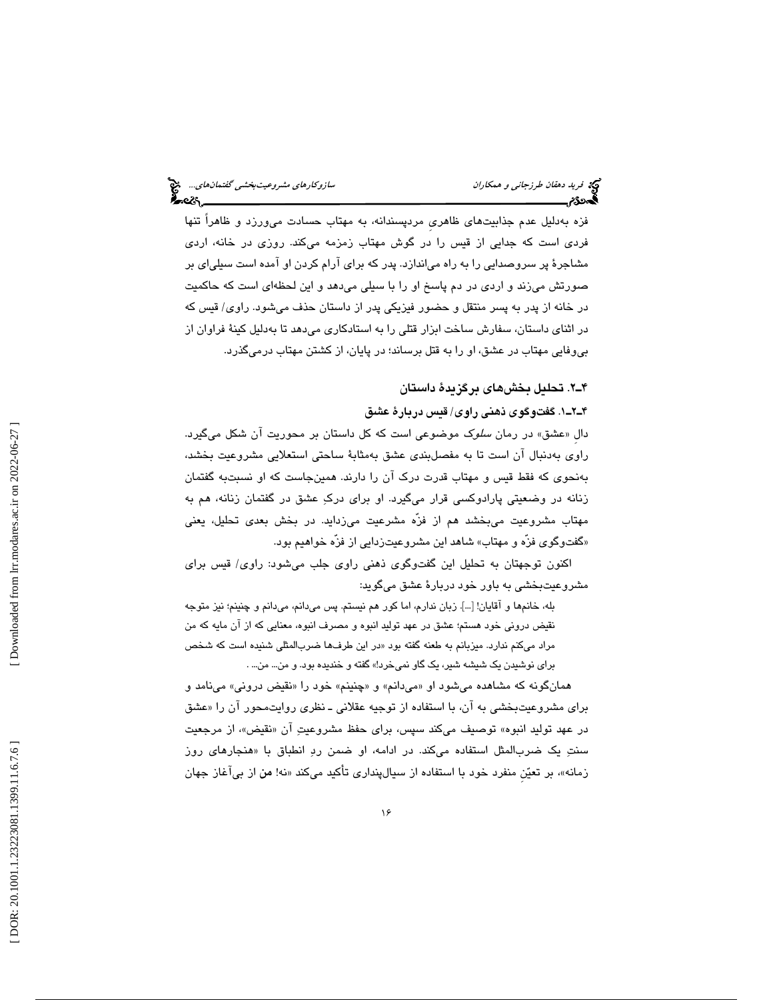فزه به دلیل عدم جذابیتهای ظاهری مردپسندانه، به مهتاب حسادت می $\mathfrak{o}_\mathfrak{c}$ رد و ظاهراً تنها فردی است که جدایی از قیس را در گوش مهتاب زمزمه میکند. روزی در خانه، اردی مشاجرهٔ پر سروصدایی را به راه میاندازد. پدر كه برای آرام كردن او آمده است سبلیای بر صورتش می زند و اردی در دم پاسخ او را با سبلی میدهد و این لحظهای است كه حاكمیت در خانه از پدر به پسر منتقل و حضور فیزیکی پدر از داستان حذف میشود. راوی/ قیس که در اثناي داستان، سفارش ساخت ابزار قتلی را به استادكاری می دهد تا به دلیل كینهٔ فراوان از بي وفايي مهتاب در عشق، او را به قتل برساند؛ در پايان، از كشتن مهتاب درميگذرد.

# 2ـ4 . تحليل بخشهاي برگزيدة داستان

۴ـ۲ــ۱. گفتوگوی ذهنی راوی/ قيس دربارهٔ عشق

دال «عشق» در رمان *سلو*ک موضوعی است که کل داستان بر محوریت ان شکل میگیرد. راوي بهدنبال آن است تا به مفصلبندي عشق بهمثابة ساحتي استعلايي مشروعيت بخشد ، بهنحوي كه فقط قيس و مهتاب قدرت درك آن را دارند. همينجاست كه او نسبتبه گفتمان زنانه در وضعيتي پارادوكسي قرار ميگيرد. او براي درك عشق در گفتمان زنانه، هم به مهتاب مشروعيت ميبخشد هم از فزّه مشرعيت ميزدايد. در بخش بعدي تحليل، يعني «گفتوگوی فزّه و مهتاب» شاهد اين مشروعيتزدايي از فزّه خواهيم بود.

اکنون توجهتان به تحلیل این گفتوگوی ذهنی راوی جلب میشود: راوی/ قیس برای مشروعيتبخشي به باور خود دربارة عشق ميگويد:

بله، خانمها و آقايان! [...]. زبان ندارم، اما كور هم نيستم. پس ميدانم، ميدانم و چنينم؛ نيز متوجه نقيض دروني خود هستم؛ عشق در عهد توليد انبوه و مصرف انبوه، معنايي كه از آن مايه كه من مراد ميكنم ندارد. ميزبانم به طعنه گفته بود «در اين طرفها ضربالمثلي شنيده است كه شخص براي نوشيدن يك شيشه شير، يك گاو نميخرد!» گفته و خنديده بود. و من... من... .

همانگونه كه مشاهده ميشود او «ميدانم» و «چنينم» خود را «نقيض دروني» مينامد و برای مشروعیتبخشی به ان، با استفاده از توجیه عقلانی ـ نظری روایتمحور ان را «عشق در عهد توليد انبوه» توصيف ميكند سپس، براي حفظ مشروعيتِ ان «نقيض»، از مرجعيت سنتِ یک ضربالمثل استفاده میکند. در ادامه، او ضمن ردِ انطباق با «هنجارهای روز زمانه»، بر تعیّن منفرد خود با استفاده از سیالپنداری تأکید میکند «نه! **من** از بیآغاز جهان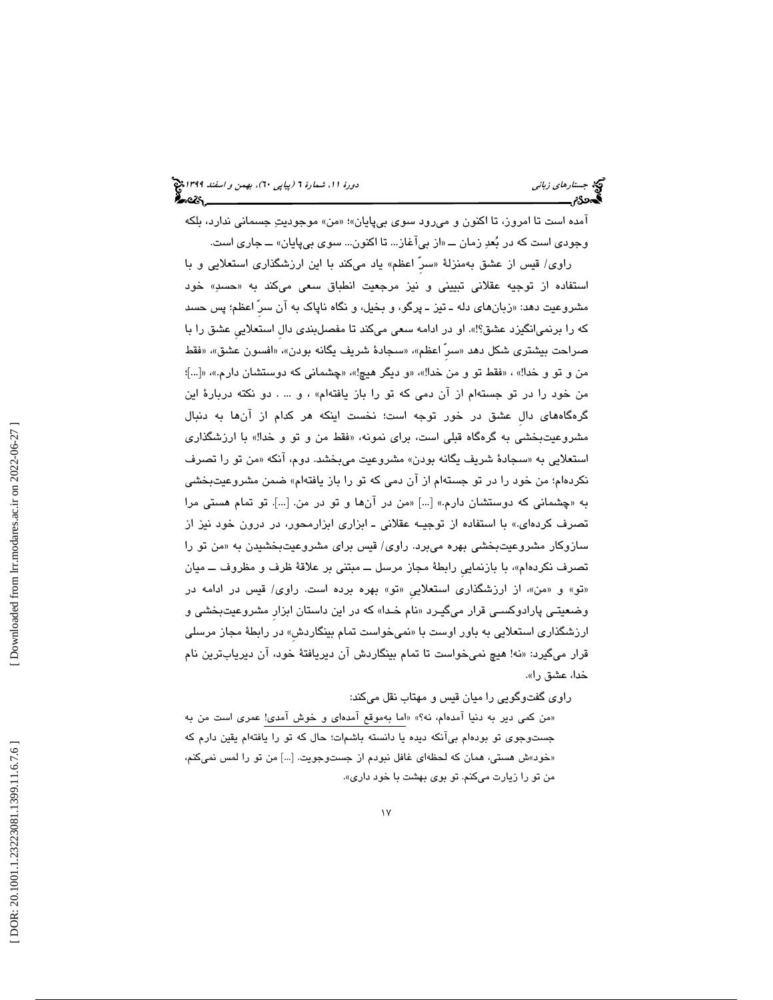آمده است تا امروز، تا اكنون و ميرود سوي بيپايان»؛ «من» موجوديتِ جسماني ندارد، بلكه وجودی است که در بُعدِ زمان ـــ «از بیlغاز… تا اکنون… سوی بیپایان» ـــ جاری است.

راوی/ قيس از عشق بهمنزلهٔ «سر اعظم» ياد مىکند با اين ارزشگذارى استعلايى و با استفاده از توجيه عقلانی تبيينی و نيز مرجعيت انطباق سعی میكند به «حسىِ» خود مشروعيت دهد: «زبانهاي دله ــ تيز ــ پرگو، و بخيل، و نگاه ناپاک به آن سرِّ اعظم؛ پس حسد كه را برنميانگيزد عشق؟!». او در ادامه سعي ميكند تا مفصلبندي دالِ استعلاييِ عشق را با صراحت بيشتري شكل دهد «سر اعظم»، «سجادهٔ شريف يگانه بودن»، «افسون عشق»، «فقط من و تو و خدا!» ، «فقط تو و من خدا!»، «و ديگر هيچ!»، «چشماني كه دوستشان دارم.»، «[…]؛ من خود را در تو جستهام از آن دمی كه تو را باز يافتهام» ، و … . دو نكته دربارهٔ اين گره گاههاي دالِ عشق در خور توجه است؛ نخست اينكه هر كدام از آنها به دنبال مشروعیتبخشی به گرهگاه قبلی است، برای نمونه، «فقط من و تو و خدا!» با ارزشگذاری استعلایی به «سجادهٔ شریف یگانه بودن» مشروعیت میبخشد. دوم، انکه «من تو را تصرف نكردهام؛ من خود را در تو جستهام از آن دمي كه تو را باز يافتهام» ضمن مشروعيتبخشي چشماني كه دوستشان دارم.» [...] «من در آنها و تو در من. [...]. تو تمام هستي مرا به « تصرف كردهاي.» با استفاده از توجيـه عقلاني ـ ابزاري ابزارمحور، در درون خود نيز از سازوکار مشروعیتبخشی بهره میبرد. راوی/ قیس برای مشروعیتبخشیدن به «من تو را تصرف نكردهام»، با بازنمايي رابطة مجاز مرسل ـــ مبتني بر علاقة ظرف و مظروف ـــ ميان «تو» و «من»، از ارزشگذاری استعلاییِ «تو» بهره برده است. راوی/ قیس در ادامه در وضعیتـی پارادوکسـی قرار میگیـرد «نام خـدا» که در این داستان ابزار مشروعیتبخشی و ارزشگذاری استعلايي به باور اوست با «نميخواست تمام بينگاردش» در رابطهٔ مجاز مرسلي قرار ميگيرد: «نه! هيچ نميخواست تا تمام بينگاردش آن ديريافتهٔ خود، آن ديريابترين نام خدا، عشق را ».

راوی گفتوگویی را میان قیس و مهتاب نقل میکند:

«من كمي دير به دنيا امدهام، نه؟» «اما بهموقع امدهاي و خوش امدي! عمري است من به جستوجوی تو بودهام بیlنکه دیده یا دانسته باشمات؛ حال که تو را یافتهام یقین دارم که «خود»ش هستي، همان كه لحظهاي غافل نبودم از جستوجويت. […] من تو را لمس نميكنم، من تو را زيارت ميكنم. تو بوي بهشت با خود داري».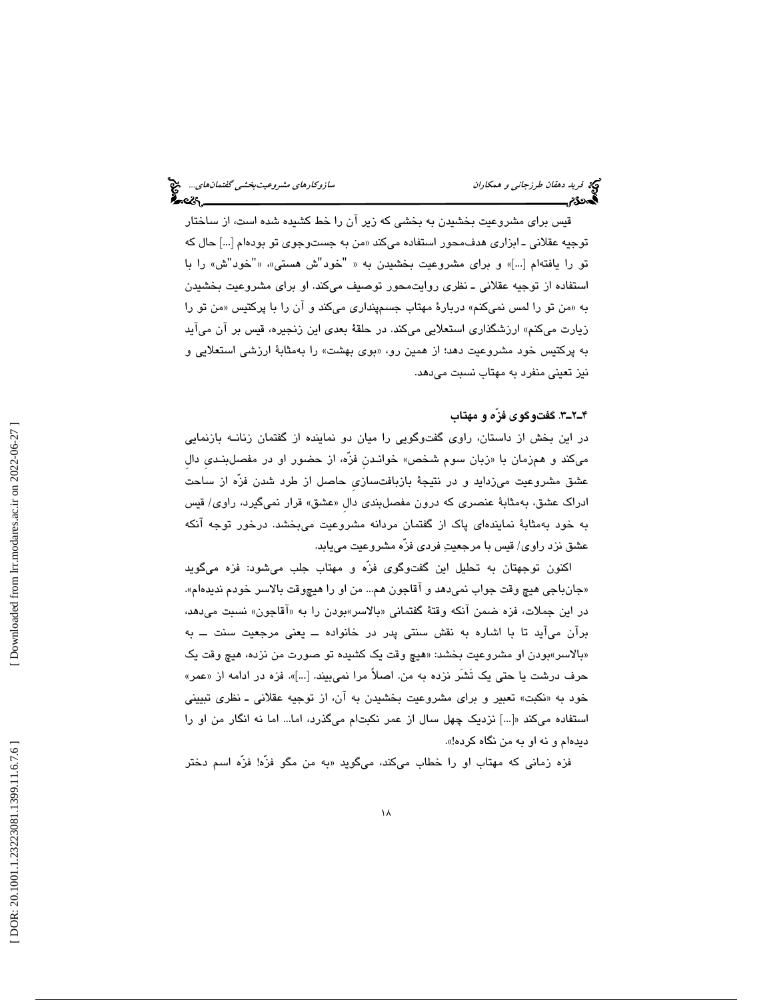قيس براي مشروعيت بخشيدن به بخشي كه زير آن را خط كشيده شده است، از ساختار توجيه عقلاني ــ ابزاری هدف،حور استفاده میکند «من به جستوجوی تو بودهام […] حال که تو را يافتهام […]» و براي مشروعيت بخشيدن به « "خود"ش هستي»، «"خود"ش» را با استفاده از توجيه عقلاني ـ نظري روايتمحور توصيف ميكند. او براي مشروعيت بخشيدن به «من تو را لمس نمیکنم» دربارهٔ مهتاب جسمپنداری میکند و ان را با پرکتیس «من تو را زيارت ميكنم» ارزشگذاري استعلايي ميكند. در حلقة بعدي اين زنجيره، قيس بر آن ميآيد به پرکتيس خود مشروعيت دهد؛ از همين رو، «بوی بهشت» را بهمثابهٔ ارزشی استعلايی و نيز تعيني منفرد به مهتاب نسبت ميدهد.

# ۴ـ۲ــ۳. گفتوگوی فزّه و مهتاب

در اين بخش از داستان، راوي گفتوگويي را ميان دو نماينده از گفتمان زنانــه بازنمايي ميكند و همزمان با «زبان سوم شخص» خوانـدن فزّه، از حضور او در مفصلبنـدي دال عشق مشروعيت ميزدايد و در نتيجة بازبافتسازيِ حاصل از طرد شدن فزّه از ساحت ادراک عشق، بهمثابهٔ عنصری که درون مفصلبندی دال «عشق» قرار نمیگیرد، راوی/ قیس م به خود به ثابة نمايندهاي پاك از گفتمان مردانه مشروعيت ميبخشد. درخور توجه آنكه عشق نزد راوي/ قيس با مرجعيت فردي فزّه مشروعيت مييابد.

اکنون توجهتان به تحليل اين گفتوگوی فزّه و مهتاب جلب ميشود: فزه ميگويد «جانباجي هيچ وقت جواب نميدهد و اقاجون هم... من او را هيچوقت بالاسر خودم نديدهام». در اين جملات، فزه ضمن انكه وقتهٔ گفتمانی «بالاسر»بودن را به «اقاجون» نسبت میدهد، برآن ميآيد تا با اشاره به نقش سنتي پدر در خانواده ــ يعني مرجعيت سنت ــ به «بالاسر»بودن او مشروعيت بخشد: «هيچ وقت يک کشيده تو صورت من نزده، هيچ وقت يک حرف درشت يا حتى يک تشر نزده به من. اصلاً مرا نمي،بيند. […]». فزه در ادامه از «عمر» خود به «نكبت» تعبير و براي مشروعيت بخشيدن به ان، از توجيه عقلاني ـ نظري تبييني استفاده ميكند «[...] نزديك چهل سال از عمر نكبتام ميگذرد، اما... اما نه انگار من او را ديدهام و نه او به من نگاه كرده!».

فزه زمانی كه مهتاب او را خطاب میكند، میگوید «به من مگو فزّه! فزّه اسم دختر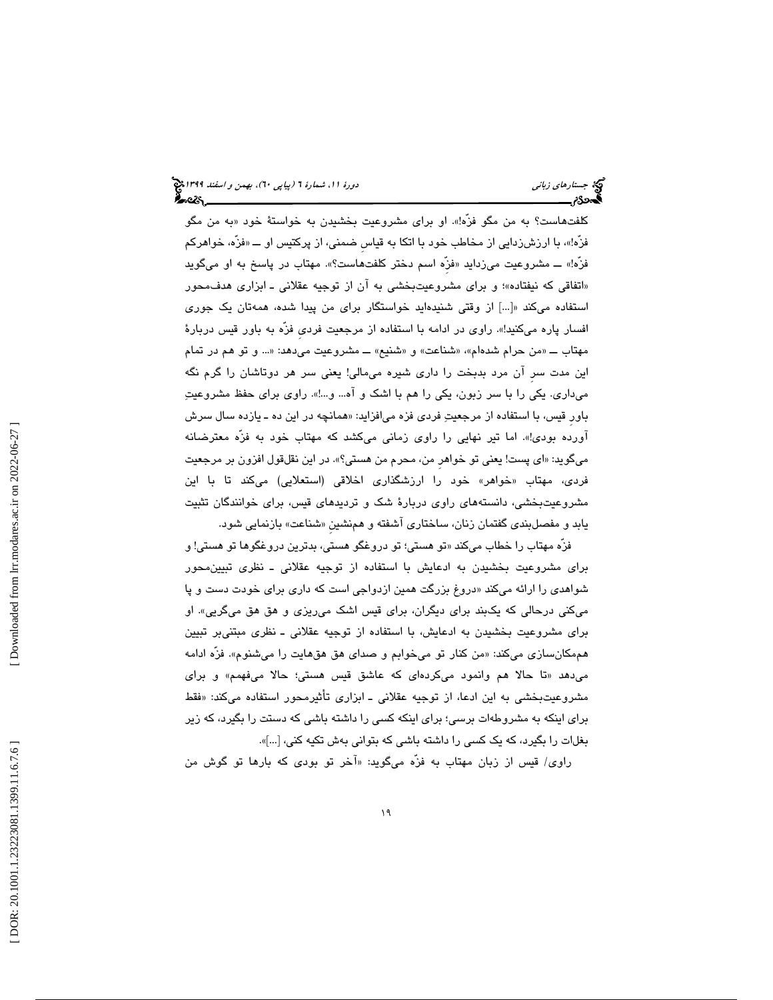کلفتهاست؟ به من مگو فزه!». او برای مشروعیت بخشیدن به خواستهٔ خود «به من مگو فزّه!»، با ارزش(دایی از مخاطب خود با اتکا به قیاس ضمنی، از پرکتیس او ــــ «فزّه، خواهرکم فزه!» ـــ مشروعیت میزداید «فزه اسم دختر کلفتهاست؟». مهتاب در پاسخ به او میگوید «اتفاقي كه نيفتاده»؛ و براي مشروعيتبخشي به ان از توجيه عقلاني ـ ابزاري هدفمحور استفاده ميكند «[...] از وقتي شنيدهايد خواستگار براي من پيدا شده، همهتان يك جوري افسار پاره ميكنيد!». راوي در ادامه با استفاده از مرجعيت فرديِ فزّه به باور قيس دربارة مهتاب ـــ «من حرام شدهام»، «شناعت» و «شنيع» ـــ مشروعيت ميدهد: «... و تو هم در تمام اين مدت سر آن مرد بدبخت را داري شيره ميمالي! يعني سر هر دوتاشان را گرم نگه ميداري. يكي را با سر زبون، يكي را هم با اشك و آه... و...!». راوي براي حفظ مشروعيت باور قيس، با استفاده از مرجعيتِ فردي فزه ميافزايد: «همانچه در اين ده ـ يازده سال سرش آورده بودي!». اما تير نهايي را راوي زماني ميكشد كه مهتاب خود به فزّه معترضانه ميگويد « : اي پست! يعني تو خواهرِ من، محرم من هستي؟ .» در اين نقلقول افزون بر مرجعيت فردی، مهتاب «خواهر» خود را ارزشگذاری اخلاقی (استعلایی) میکند تا با این مشروعيتبخشي، دانستههاي راوي دربارة شك و ترديدهاي قيس، براي خوانندگان تثبيت يابد و مفصلبندي گفتمان زنان، ساختاري اشفته و همنشين «شناعت» بازنمايي شود.

فرّه مهتاب را خطاب ميكند «تو هستي؛ تو دروغگو هستي، بدترين دروغگوها تو هستي! و براي مشروعيت بخشيدن به ادعايش با استفاده از توجيه عقلاني ـ نظري تبيينمحور شواهدی را ارائه میکند «دروغ بزرگت همین ازدواجی است که داری برای خودت دست و پا ميكني درحالي كه يكبند براي ديگران، براي قيس اشك ميريزي و هق هق ميگريي». او براي مشروعيت بخشيدن به ادعايش، با استفاده از توجيه عقلاني ـ نظري مبتنيبر تبيين هممکانسازی میکند: «من کنار تو میخوابم و صدای هق هقهایت را میشنوم». فزّه ادامه تا حالا هم وانمود ميكردهاي كه عاشق قيس هستي؛ حالا ميفهمم» و براي ميدهد « مشروعيتبخشي به اين ادعا، از توجيه عقلاني ـ ابزاري تأثيرمحور استفاده ميكند: «فقط براي اينكه به مشروطهات برسي؛ براي اينكه كسي را داشته باشي كه دستت را بگيرد، كه زير بغلات را بگيرد، كه يك كسي را داشته باشي كه بتواني بهش تكيه كني، [...]».

راوي/ قيس از زبان مهتاب به فزّه ميگويد: «آخر تو بودي كه بارها تو گوش من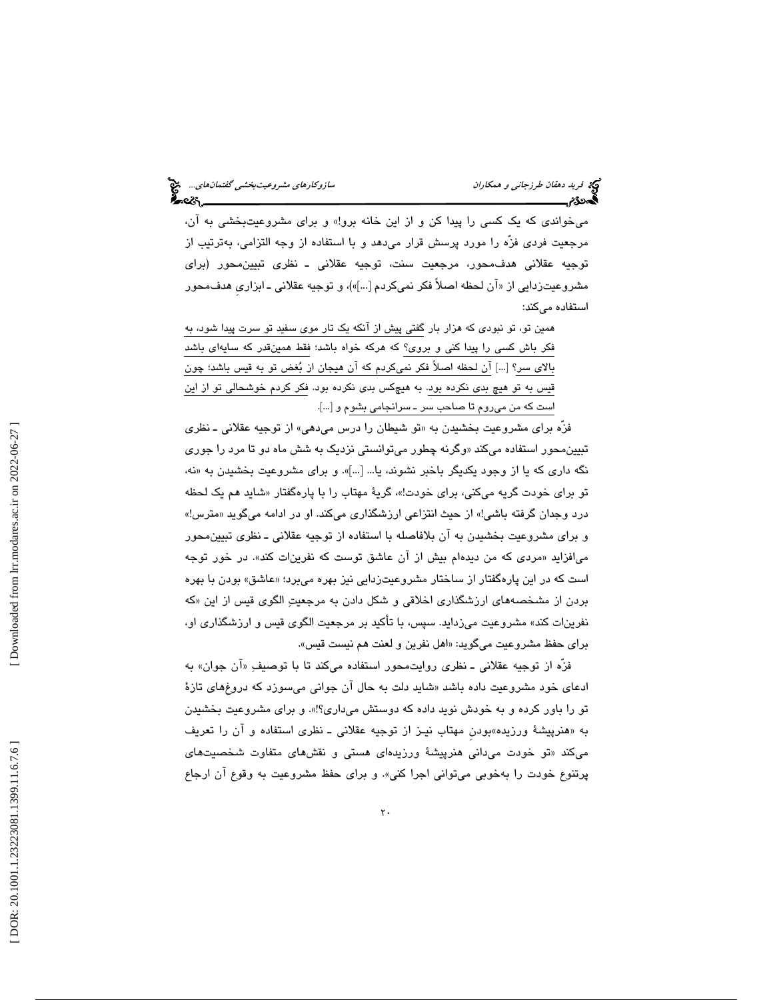ميخواندي كه يك كسي را پيدا كن و از اين خانه برو!» و براي مشروعيتبخشي به آن، مرجعيت فردي فزّه را مورد پرسش قرار ميدهد و با استفاده از وجه التزامي، بهترتيب از توجيه عقلاني هدفمحور، مرجعيت سنت، توجيه عقلاني ـ نظري تبيينمحور (براي مشروعيتزدايي از «ان لحظه اصلاً فكر نميكردم […]»)، و توجيه عقلاني ــ ابزاري هدف،حور استفاده ميكند:

همين تو، تو نبودي كه هزار بار گفتي پيش از آنكه يك تار موي سفيد تو سرت پيدا شود، به فكر باش كسي را پيدا كني و بروي؟ كه هركه خواه باشد؛ فقط همينقدر كه سايهاي باشد بالاي سر؟ [...] آن لحظه اصلاً فكر نميكردم كه آن هيجان از بغض تو به قيس باشد؛ چون قيس به تو هيچ بدي نكرده بود. به هيچكس بدي نكرده بود. فكر كردم خوشحالي تو از اين است كه من ميروم تا صاحب سر ـ سرانجامي بشوم و [...].

فزّه برای مشروعیت بخشیدن به «تو شیطان را درس می۵هی» از توجیه عقلانی ــ نظری تبيين،حور استفاده ميكند «وگرنه چطور ميتوانستي نزديک به شش ماه دو تا مرد را جور*ي* نه، نگه داري كه يا از وجود يكديگر باخبر نشوند، يا... [...]». و براي مشروعيت بخشيدن به « تو برای خودت گريه میکنی، برای خودت!»، گريهٔ مهتاب را با پارهگفتار «شايد هم يک لحظه درد وجدان گرفته باشي!» از حيث انتزاعي ارزشگذاري ميكند. او در ادامه ميگويد «مترس!» و براي مشروعيت بخشيدن به آن بلافاصله با استفاده از توجيه عقلاني ـ نظري تبيينمحور میافزاید «مردی که من دیدهام بیش از ان عاشق توست که نفرینات کند». در خور توجه است كه در اين پارهگفتار از ساختار مشروعيتزدايي نيز بهره ميبرد؛ «عاشق» بودن با بهره بردن از مشخصه هاي ارزشگذاري اخلاقي و شكل دادن به مرجعيت الگوي قيس از اين « كه نفرينات كند» مشروعيت ميزدايد. سپس، با تأكيد بر مرجعيت الگوي قيس و ارزشگذاري او، براي حفظ مشروعيت ميگويد: «اهل نفرين و لعنت هم نيست قيس».

فزه از توجیه عقلانی ـ نظری روایتمحور استفاده میکند تا با توصیفِ «ان جوان» به ادعای خود مشروعیت داده باشد «شاید دلت به حال ان جوانی میسوزد که دروغهای تازهٔ تو را باور كرده و به خودش نويد داده كه دوستش ميداري؟!». و براي مشروعيت بخشيدن به «هنرپيشهٔ ورزيده»بودن مهتاب نيـز از توجيه عقلاني ــ نظري استفاده و ان را تعريف تو خودت ميداني هنرپيشة ورزيدهاي هستي و نقشهاي متفاوت شخصيتهاي ميكند « پرتنوع خودت را بهخوبي ميتواني اجرا كني». و براي حفظ مشروعيت به وقوع آن ارجاع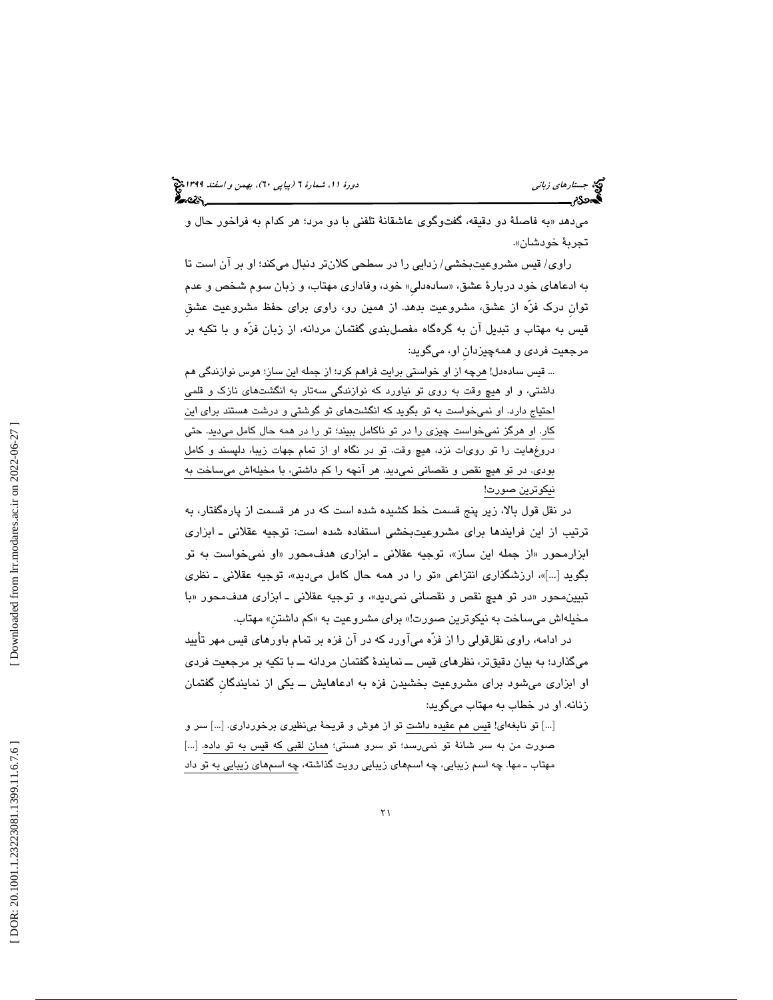میدهد «به فاصلهٔ دو دقیقه، گفتوگوی عاشقانهٔ تلفنی با دو مرد؛ هر کدام به فراخور حال و تجربة خودشان ».

راوي/ قيس مشروعيتبخشي/ زدايي را در سطحي كلانتر دنبال ميكند؛ او بر آن است تا به ادعاهای خود دربارهٔ عشق، «سادهدلی» خود، وفاداری مهتاب، و زبان سوم شخص و عدم توانِ درك فزّه از عشق، مشروعيت بدهد. از همين رو، راوي براي حفظ مشروعيت عشقِ قيس به مهتاب و تبديل آن به گرهگاه مفصلبندي گفتمان مردانه، از زبان فزّه و با تكيه بر مرجعيت فردي و همهچيزدانِ او، ميگويد:

... قيس سادهدل! هرچه از او خواستي برايت فراهم كرد؛ از جمله اين ساز؛ هوس نوازندگي هم داشتي، و او هيچ وقت به روي تو نياورد كه نوازندگي سهتار به انگشتهاي نازك و قلمي احتياج دارد. او نميخواست به تو بگويد كه انگشتهاي تو گوشتي و درشت هستند براي اين كار. او هرگز نميخواست چيزي را در تو ناكامل ببيند؛ تو را در همه حال كامل ميديد. حتي دروغهايت را تو رويات نزد، هيچ وقت. تو در نگاه او از تمام جهات زيبا، دلپسند و كامل بودي. در تو هيچ نقص و نقصاني نميديد. هر آنچه را كم داشتي، با مخيلهاش ميساخت به نيكوترين صورت!

در نقل قول بالا، زير پنج قسمت خط كشيده شده است كه در هر قسمت از پارهگفتار، به ترتيب از اين فرايندها براي مشروعيتبخشي استفاده شده است : توجيه عقلاني ـ ابزاري ابزارمحور «از جمله این ساز»، توجیه عقلانی ـ ابزاری هدفمحور «او نمیخواست به تو بگويد […]»، ارزشگذاری انتزاعی «تو را در همه حال کامل میٖدید»، توجیه عقلانی ــ نظری تبيينِ محور «در تو هيچ نقص و نقصاني نميِ ديه»، و توجيه عقلاني ــ ابزاري هدف،محور «با مخيلهاش ميساخت به نيكوترين صورت!» براي مشروعيت به «كم داشتن» مهتاب.

در ادامه، راوي نقلقولي را از فزّه ميآورد كه در آن فزه بر تمام باورهاي قيس مهر تأييد ميگذارد؛ به بيان دقيقتر، نظرهاي قيس ــ نمايندة گفتمان مردانه ــ با تكيه بر مرجعيت فردي او ابزاري مي شود براي مشروعيت بخشيدن فزه به ادعاهايش ــ يكي از نمايندگانِ گفتمان زنانه. او در خطاب به مهتاب ميگويد:

[...] تو نابغهاي! قيس هم عقيده داشت تو از هوش و قريحة بينظيري برخورداري. [...] سر و صورت من به سر شانة تو نميرسد؛ تو سرو هستي؛ همان لقبي كه قيس به تو داده. [...] مهتاب ـ مها. چه اسم زيبايي، چه اسمهاي زيبايي رويت گذاشته، چه اسمهاي زيبايي به تو داد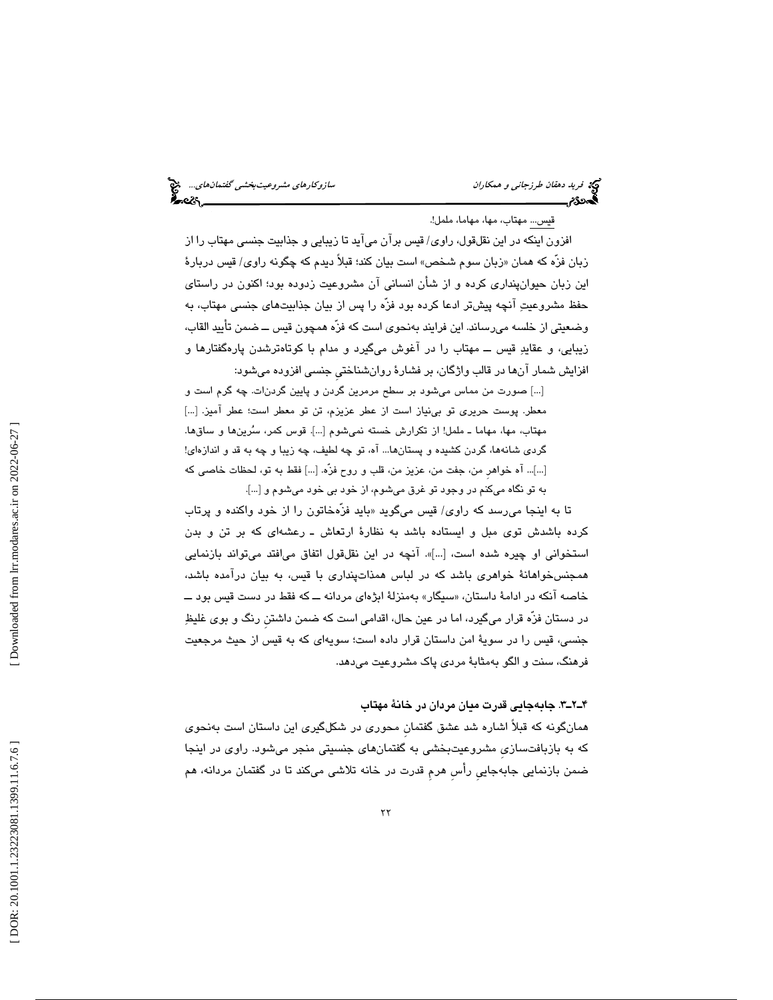قيس... مهتاب، مها، مهاما، ململ!.

افزون اينكه در اين نقلقول، راوي/ قيس برآن ميآيد تا زيبايي و جذابيت جنسي مهتاب را از زبان فزه كه همان «زبان سوم شـُخص» است بيان كند؛ قبلاً ديدم كه چگونه راوي/ قيس دربارهٔ اين زبان حيوانپنداري كرده و از شأن انساني آن مشروعيت زدوده بود؛ اكنون در راستاي حفظ مشروعيت آنچه پيشتر ادعا كرده بود فزّه را پس از بيان جذابيتهاي جنسي مهتاب، به وضعيتي از خلسه ميرساند. اين فرايند بهنحوي است كه فزّه همچون قيس ــ ضمن تأييد القاب، زيبايي، و عقايد قيس ــ مهتاب را در آغوش ميگيرد و مدام با كوتاهترشدن پارهگفتارها و افزايش شمار آنها در قالب واژگان، بر فشارة روانشناختيِ جنسي افزوده ميشود:

[...] صورت من مماس ميشود بر سطح مرمرين گردن و پايين گردنات. چه گرم است و معطر. پوست حريري تو بينياز است از عطر عزيزم، تن تو معطر است؛ عطر آميز. [...] مهتاب، مها، مهاما ـ ململ! از تكرارش خسته نمي شوم […]. قوس كمر، سُرينها و ساقها. گردي شانهها، گردن كشيده و پستانها... آه، تو چه لطيف، چه زيبا و چه به قد و اندازهاي! [...]... آه خواهرِ من، جفت من، عزيز من، قلب و روح فزّه. [...] فقط به تو، لحظات خاصي كه به تو نگاه ميكنم در وجو د تو غرق ميشوم، از خود بي خود ميشوم و [...].

تا به اينجا ميرسد كه راوي/ قيس ميگويد «بايد فزهخاتون را از خود واكنده و پرتاب كرده باشدش توي مبل و ايستاده باشد به نظارة ارتعاش ـ رعشهاي كه بر تن و بدن استخواني او چيره شده است، [...]». آنچه در اين نقلقول اتفاق ميافتد ميتواند بازنمايي همجنسخواهانة خواهري باشد كه در لباس همذاتپنداري با قيس، به بيان درآمده باشد، خاصه انكه در ادامهٔ داستان، «سیگار» بهمنزلهٔ ابژهای مردانه ـــ كه فقط در دست قیس بود ـــ در دستان فزّه قرار ميگيرد، اما در عين حال، اقدامي است كه ضمن داشتنِ رنگ و بوي غليظ جنسي، قيس را در سوية امن داستان قرار داده است؛ سويهاي كه به قيس از حيث مرجعيت فرهنگ، سنت و الگو بهمثابة مردي پاك مشروعيت ميدهد.

# 3ـ2ـ4 . جابهجايي قدرت ميان مردان در خانة مهتاب

همانگونه كه قبلاً اشاره شد عشق گفتمانِ محوري در شكلگيري اين داستان است بهنحوي كه به بازبافتسازيِ مشروعيتبخشي به گفتمانهاي جنسيتي منجر ميشود. راوي در اينجا ضمن بازنمايي جابهجاييِ رأسِ هرمِ قدرت در خانه تلاشي ميكند تا در گفتمان مردانه، هم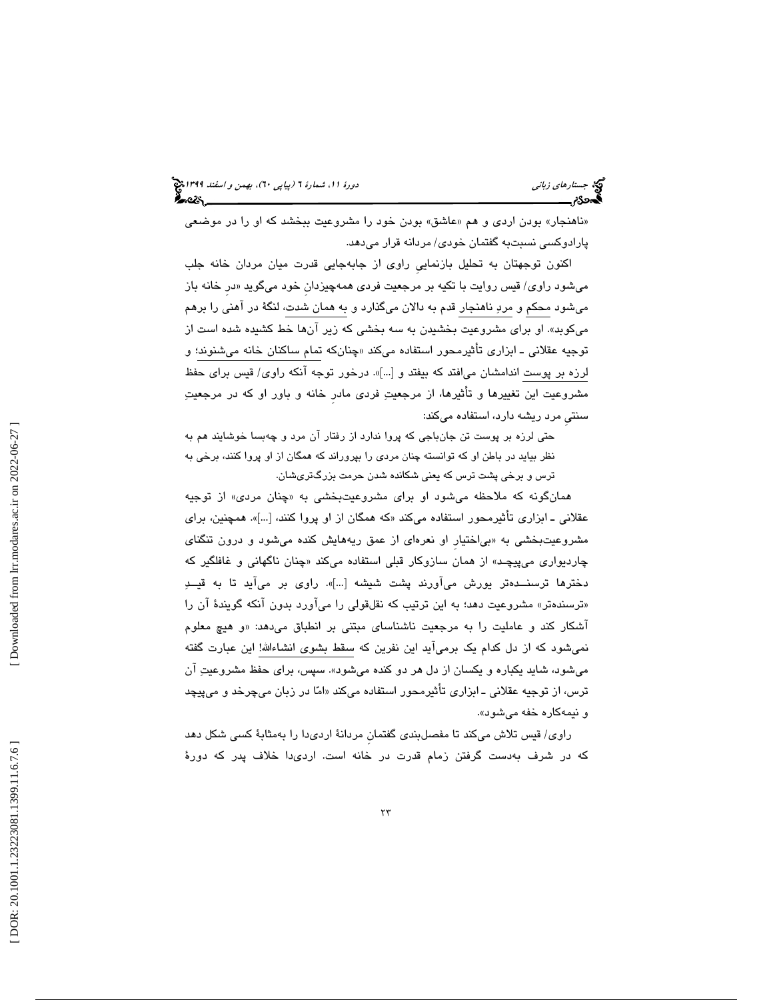«ناهنجار» بودن اردی و هم «عاشق» بودن خود را مشروعیت ببخشد که او را در موضعی پارادوكسي نسبتبه گفتمان خودي/ مردانه قرار ميدهد.

اكنون توجهتان به تحليل بازنماييِ راوي از جابهجايي قدرت ميان مردان خانه جلب میشود راوی/ قیس روایت با تکیه بر مرجعیت فردی همهچیزدان خود میگوید «در خانه باز ميشود محكم و مرد ناهنجار قدم به دالان ميگذارد و به همان شدت، لنگة در آهني را برهم ميكوبد ». او براي مشروعيت بخشيدن به سه بخشي كه زير آنها خط كشيده شده است از توجيه عقلاني ــ ابزاري تأثيرمحور استفاده ميكند «چنانكه تمام ساكنان خانه ميشنوند؛ و لرزه بر پوست اندامشان ميافتد كه بيفتد و [...]». درخور توجه آنكه راوي/ قيس براي حفظ مشروعيت اين تغييرها و تأثيرها، از مرجعيت فردي مادرِ خانه و باور او كه در مرجعيت سنتي مرد ريشه دارد، استفاده ميكند:

حتي لرزه بر پوست تن جانباجي كه پروا ندارد از رفتار آن مرد و چهبسا خوشايند هم به نظر بيايد در باطن او كه توانسته چنان مردي را بپروراند كه همگان از او پروا كنند، برخي به ترس و برخي پشت ترس كه يعني شكانده شدن حرمت بزرگتريشان .

همانگونه كه ملاحظه مىشود او براى مشروعيتبخشى به «چنان مردى» از توجيه عقلانی ــ ابزاری تاثیرمحور استفاده میکند «که همگان از او پروا کنند، […]». همچنین، برای مشروعيتبخشي به «بي|ختيار او نعرهاي از عمق ريههايش كنده ميشود و درون تنگناي چاردیواری میپیچـد» از همان سازوکار قبلی استفاده میکند «چنان ناگهانی و غافلگیر که دخترها ترسنــدهتر يورش ميآورند پشت شيشه [...]». راوي بر ميآيد تا به قيــد «ترسندهتر» مشروعیت دهد؛ به این ترتیب كه نقلقولی را میآورد بدون انكه گویندهٔ آن را اشکار کند و عاملیت را به مرجعیت ناشناسای مبتنی بر انطباق میدهد: «و هیچ معلوم نميشود كه از دل كدام يك برميآيد اين نفرين كه سقط بشوي انشاءاالله! اين عبارت گفته ميشود، شايد يكباره و يكسان از دل هر دو كنده ميشود». سپس، براي حفظ مشروعيت آن ترس، از توجيه عقلانی ــ ابزاری تأثيرمحور استفاده میکند «امّا در زبان میچرخد و میپيچد و نيمهكاره خفه ميشود ».

راوي/ قيس تلاش ميكند تا مفصلبندي گفتمانِ مردانة ارديدا را بهمثابة كسي شكل دهد كه در شرف بهدست گرفتن زمام قدرت در خانه است. اردىدا خلاف پدر كه دورهٔ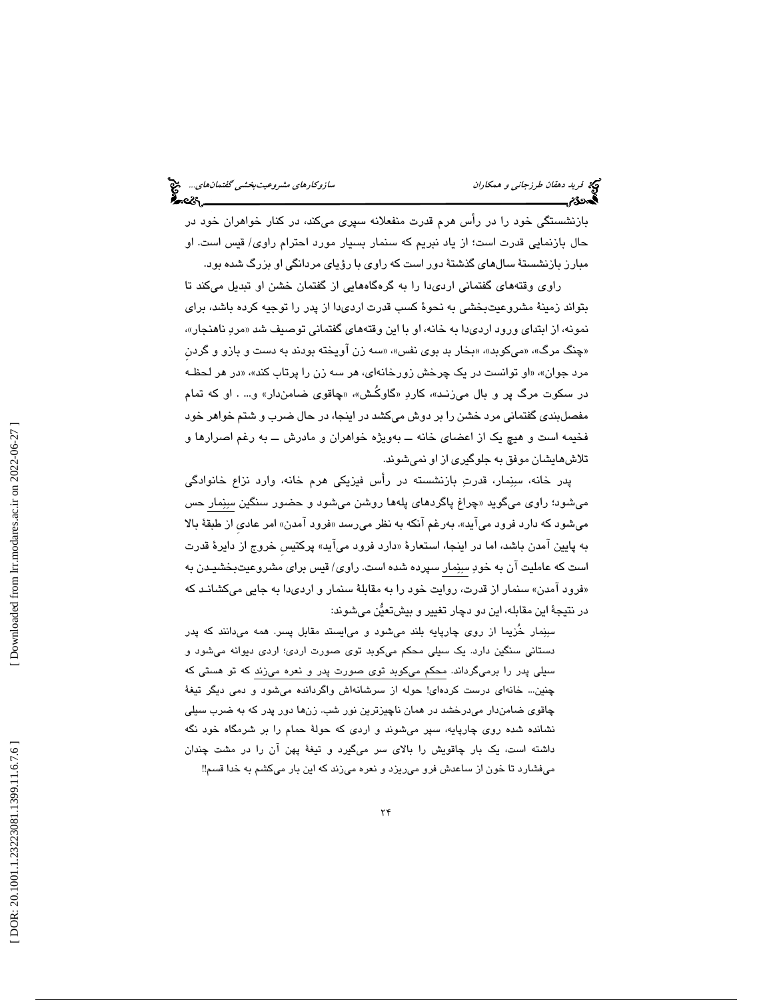بازنشستگي خود را در رأس هرم قدرت منفعلانه سپري ميكند، در كنار خواهران خود در حال بازنمايي قدرت است؛ از ياد نبريم كه سنمار بسيار مورد احترام راوى/ قيس است. او مبارز بازنشستة سالهاي گذشتة دور است كه راوي با رؤياي مردانگي او بزرگ شده بود.

راوي وقتههاي گفتماني اردي دا را به گرهگاههايي از گفتمان خشن او تبديل ميكند تا بتواند زمينة مشروعيتبخشي به نحوة كسب قدرت ارديدا از پدر را توجيه كرده باشد، براي نمونه، از ابتدای ورود اردیدا به خانه، او با این وقتههای گفتمانی توصیف شد «مردِ ناهنجار»، «چنگ مرگ»، «میکوبد»، «بخار بد بوی نفس»، «سه زن اویخته بودند به دست و بازو و گردن مرد جوان»، «او توانست در یک چرخش زورخانهای، هر سه زن را پرتاب کند»، «در هر لحظـه در سکوت مرگ پر و بال میزنـد»، کاردِ «گاوکَـش»، «چاقوی ضامنِدار» و… . او که تمام مفصلبندی گفتمانی مرد خشن را بر دوش میکشد در اینجا، در حال ضرب و شتم خواهر خود فخيمه است و هيچ يک از اعضای خانه ـــ بهويژه خواهران و مادرش ـــ به رغم اصىرارها و تلاش هايشان موفق به جلوگيري از او نمي شوند.

پدر خانه، سِنِمار، قدرتِ بازنشسته در رأس فیزیکی هرم خانه، وارد نزاع خانوادگی میشود؛ راوی میگوید «چراغ پاگردهای پلهها روشن میشود و حضور سنگین سبِنِمار حس میشود که دارد فرود میاید». بهرغم انکه به نظر میرسد «فرود امدن» امر عادی از طبقهٔ بالا به پایین امدن باشد، اما در اینجا، استعارهٔ «دارد فرود میاید» پرکتیس خروج از دایرهٔ قدرت است كه عامليت آن به خود سنمار سپرده شده است. راوي/ قيس براي مشروعيتبخشيـدن به «فرود امدن» سنمار از قدرت، روایت خود را به مقابلهٔ سنمار و اردیدا به جایی میکشانـد که در نتيجهٔ اين مقابله، اين دو دچار تغيير و بيشتعيَّن ميشوند:

سِنِمار خُزيما از روي چارپايه بلند ميشود و مي|يستد مقابل پسر. همه ميدانند كه پدر دستاني سنگين دارد. يك سيلي محكم ميكوبد توي صورت اردي؛ اردي ديوانه ميشود و سيلي پدر را برميگرداند. محكم ميكوبد توي صورت پدر و نعره ميزند كه تو هستي كه چنين... خانهاي درست كردهاي! حوله از سرشانهاش واگردانده ميشود و دمي ديگر تيغة چاقوي ضامندار ميدرخشد در همان ناچيزترين نور شب. زنها دور پدر كه به ضرب سيلي نشانده شده روي چارپايه، سپر ميشوند و اردي كه حولة حمام را بر شرمگاه خود نگه داشته است، يك بار چاقويش را بالاي سر ميگيرد و تيغة پهن آن را در مشت چندان ميفشارد تا خون از ساعدش فرو ميريزد و نعره ميزند كه اين بار ميكشم به خدا قسم!!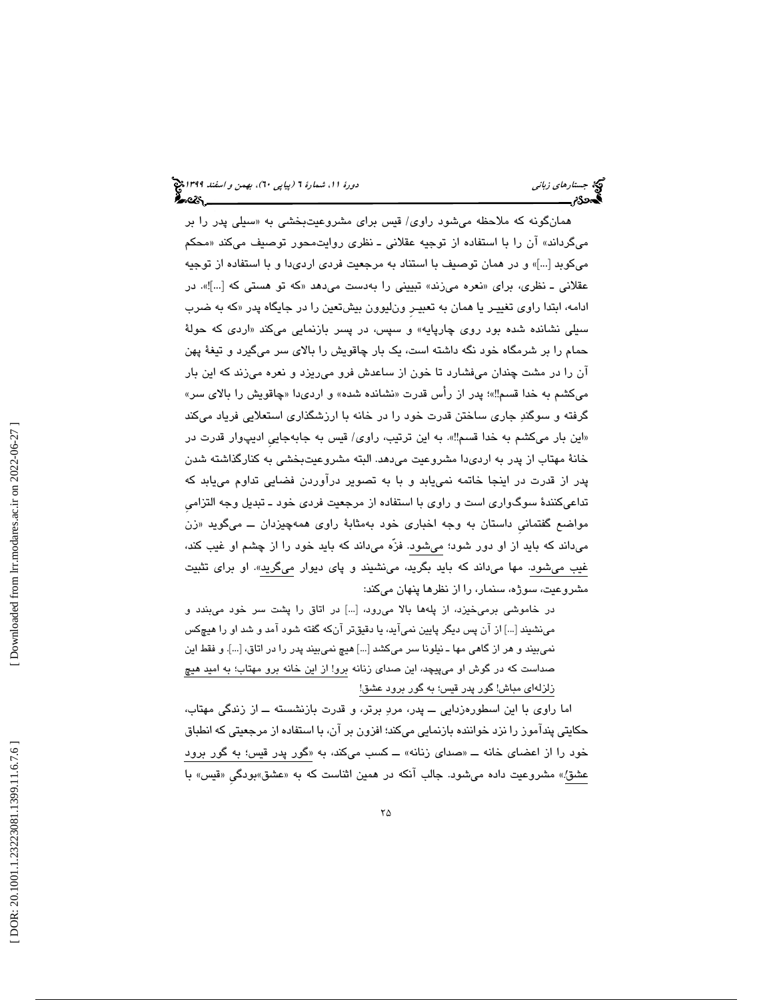همانگونه که ملاحظه میشود راوی/ قیس برای مشروعیتبخشی به «سیلی پدر را بر میگرداند» ان را با استفاده از توجیه عقلانی ــ نظری روایتمحور توصیف میکند «محکم ميكوبد [...]» و در همان توصيف با استناد به مرجعيت فردي ارديدا و با استفاده از توجيه عقلانی ـ نظری، برای «نعره میزند» تبیینی را بهدست میدهد «که تو هستی که […]!». در ادامه، ابتدا راوي تغييـر يا همان به تعبيـرِ ونليوون بيشتعين را در جايگاه پدر « كه به ضرب سیلی نشانده شده بود روی چارپایه» و سپس، در پسر بازنمایی میکند «اردی که حولهٔ حمام را بر شرمگاه خود نگه داشته است، يك بار چاقويش را بالاي سر ميگيرد و تيغة پهن آن را در مشت چندان ميفشارد تا خون از ساعدش فرو ميريزد و نعره ميزند كه اين بار میکشم به خدا قسم‼»؛ پدر از رأس قدرت «نشانده شده» و اردیدا «چاقویش را بالای سر» گرفته و سوگند جاري ساختن قدرت خود را در خانه با ارزشگذاري استعلايي فرياد ميكند «اين بار ميكشم به خدا قسم‼». به اين ترتيب، راوی/ قيس به جابهجايي اديپوار قدرت در خانة مهتاب از پدر به ارديدا مشروعيت ميدهد. البته مشروعيتبخشي به كنارگذاشته شدن پدر از قدرت در اينجا خاتمه نمييابد و با به تصوير درآوردن فضايي تداوم مييابد كه تداعيكنندة سوگواري است و راوي با استفاده از مرجعيت فردي خود ـ تبديل وجه التزاميِ مواضع گفتماني داستان به وجه اخباري خود بهمثابهٔ راوي همهچيزدان ـــ ميگويد «زن ميداند كه بايد از او دور شود؛ ميشود. فزّه ميداند كه بايد خود را از چشم او غيب كند، غيب ميشود. مها ميداند كه بايد بگريد، مينشيند و پاي ديوار ميگريد». او براي تثبيت مشروعيت، سوژه، سنمار، را از نظرها پنهان ميكند:

در خاموشي برميخيزد، از پلهها بالا ميرود، [...] در اتاق را پشت سر خود ميبندد و مينشيند [...] از آن پس ديگر پايين نميآيد، يا دقيقتر آنكه گفته شود آمد و شد او را هيچكس نميبيند و هر از گاهي مها ـ نيلونا سر ميكشد [...] هيچ نميبيند پدر را در اتاق، [...]. و فقط اين صداست كه در گوش او ميپيچد، اين صداي زنانه برو! از اين خانه برو مهتاب؛ به اميد هيچ زلزلهاي مباش! گور پدر قيس؛ به گور برود عشق!

اما راوي با اين اسطورهزدايي ــ پدر، مرد برتر، و قدرت بازنشسته ــ از زندگي مهتاب، حكايتي پندآموز را نزد خواننده بازنمايي ميكند؛ افزون بر آن، با استفاده از مرجعيتي كه انطباق خود را از اعضای خانه ـــ «صدای زنانه» ـــ كسب میكند، به «گور پدر قیس؛ به گور برود عشق!» مشروعیت داده میشود. جالب انکه در همین اثناست که به «عشق»بودگی «قیس» با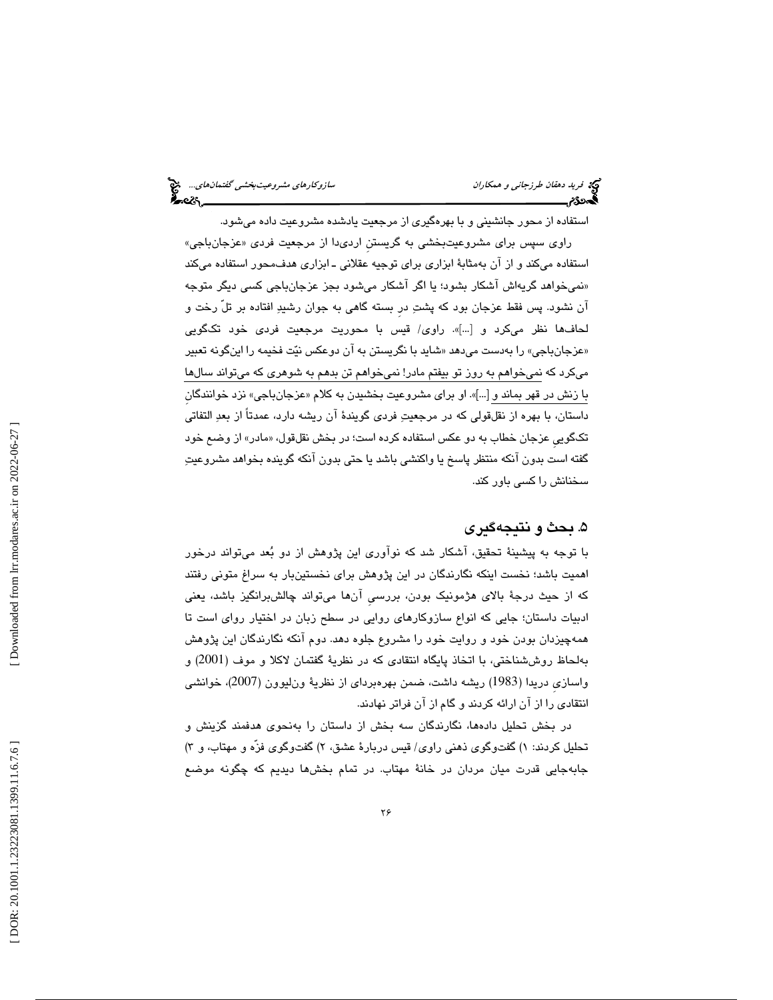استفاده از محور جانشيني و با بهرهگيري از مرجعيت يادشده مشروعيت داده ميشود. راوی سپس برای مشروعیتبخشی به گریستن اردیدا از مرجعیت فردی «عزجانباجی» استفاده ميكند و از آن بهمثابة ابزاري براي توجيه عقلاني ـ ابزاري هدفمحور استفاده ميكند نميخواهد گريهاش آشكار بشود؛ يا اگر آشكار ميشود بجز عزجانباجي كسي ديگر متوجه » آن نشود. پس فقط عزجان بود كه پشت درِ بسته گاهي به جوان رشيد افتاده بر تلّ رخت و لحافها نظر میكرد و […]». راوی/ قیس با محوریت مرجعیت فردی خود تكگویی «عزجانباجي» را بهدست ميدهد «شايد با نگريستن به ان دوعكس نيّت فخيمه را اينگونه تعبير ميكرد كه نميخواهم به روز تو بيفتم مادر! نميخواهم تن بدهم به شوهري كه ميتواند سالها با زنش در قهر بماند و […]». او برای مشروعیت بخشیدن به کلام «عزجانباجی» نزد خوانندگان داستان، با بهره از نقلقولي كه در مرجعيت فردي گويندة آن ريشه دارد، عمدتاً از بعد التفاتي تکگویی عزجان خطاب به دو عکس استفاده کرده است؛ در بخش نقلقول، «مادر» از وضىع خود گفته است بدون آنكه منتظر پاسخ يا واكنشي باشد يا حتي بدون آنكه گوينده بخواهد مشروعيت سخنانش را كسي باور كند.

# 5. بحث و نتيجهگيري

با توجه به پيشينة تحقيق، آشكار شد كه نوآوري اين پژوهش از دو بعد ميتواند درخور اهميت باشد؛ نخست اينكه نگارندگان در اين پژوهش براي نخستينبار به سراغ متوني رفتند كه از حيث درجة بالاي هژمونيك بودن، بررسيِ آنها ميتواند چالشبرانگيز باشد، يعني ادبيات داستان؛ جايي كه انواع سازوكارهاي روايي در سطح زبان در اختيار رواي است تا همهچيزدان بودن خود و روايت خود را مشروع جلوه دهد. دوم آنكه نگارندگان اين پژوهش بهلحاظ روششناختي، با اتخاذ پايگاه انتقادي كه در نظرية گفتمان لاكلا و موف (2001) و واسازيِ دريدا (1983) ريشه داشت، ضمن بهرهبرداي از نظرية ونليوون (2007)، خوانشي انتقادي را از آن ارائه كردند و گام از آن فراتر نهادند.

در بخش تحليل دادهها، نگارندگان سه بخش از داستان را بهنحوي هدفمند گزينش و تحلیل کردند: ۱) گفتوگوی ذهنی راوی/ قیس دربارهٔ عشق، ۲) گفتوگوی فزه و مهتاب، و ۳) جابهجايي قدرت ميان مردان در خانهٔ مهتاب. در تمام بخشها ديديم كه چگونه موضع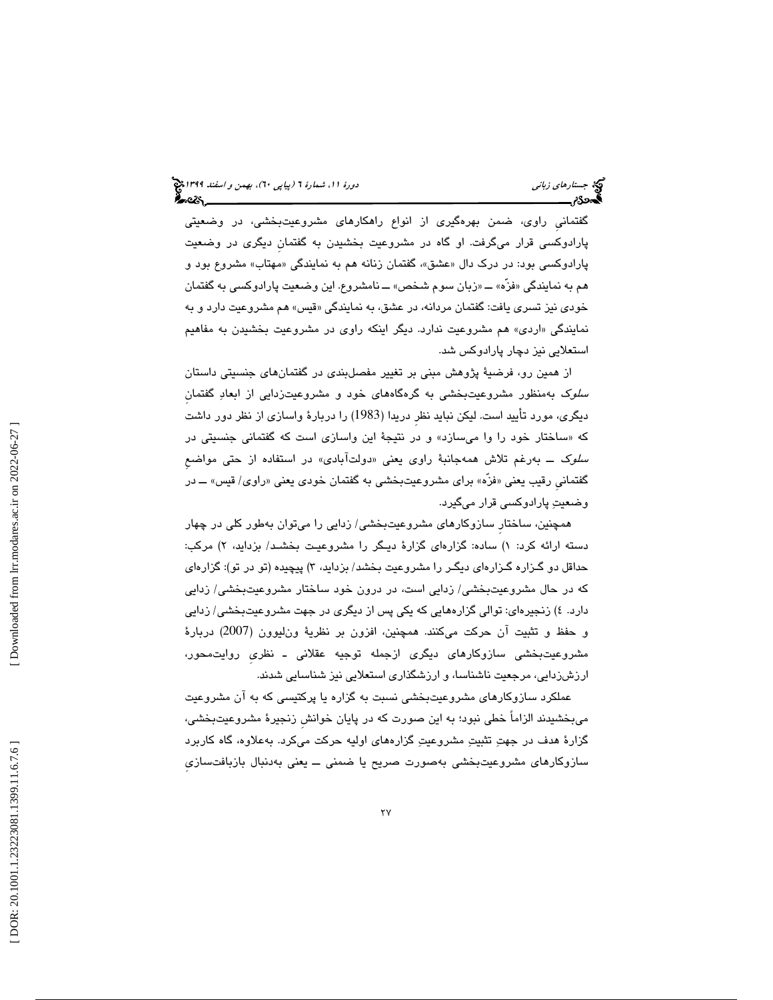گفتمانيِ راوي، ضمن بهرهگيري از انواع راهكارهاي مشروعيتبخشي، در وضعيتي پارادوكسي قرار ميگرفت. او گاه در مشروعيت بخشيدن به گفتمانِ ديگري در وضعيت پارادوکسی بود: در درک دال «عشق»، گفتمان زنانه هم به نمایندگی «مهتاب» مشروع بود و هم به نمايندگي «فزه» ــــ «زبان سوم شخص» ـــ نامشروع. اين وضعيت پارادوكسي به گفتمان خودی نيز تسری يافت: گفتمان مردانه، در عشق، به نمايندگی «قيس» هم مشروعيت دارد و به اردي» هم مشروعيت ندارد. ديگر اينكه راوي در مشروعيت بخشيدن به مفاهيم نمايندگي « استعلايي نيز دچار پارادوكس شد.

 از همين رو، فرضية پژوهش مبني بر تغيير مفصلبندي در گفتمانهاي جنسيتي داستان سلوك به منظور مشروعيتبخشي به گره گاههاي خود و مشروعيتزدايي از ابعاد گفتمانِ ديگري، مورد تأييد است. ليكن نبايد نظرِ دريدا (1983) را دربارة واسازي از نظر دور داشت ساختار خود را وا ميسازد» و در نتيجة اين واسازي است كه گفتماني جنسيتي در كه « س*لوک ــ* بهرغم تلاش همهجانبهٔ راوی یعنی «دولتآبادی» در استفاده از حتی مواضعِ گفتمانی رقیب یعنی «فَزْه» برای مشروعیتبخشی به گفتمان خودی یعنی «راوی/ قیس» ـــ در وضعيت پارادوكسي قرار ميگيرد.

همچنين، ساختارِ سازوكارهاي مشروعيتبخشي/ زدايي را ميتوان بهطور كلي در چهار دسته ارائه كرد: ۱) ساده: گزارهای گزارهٔ دیـگر را مشروعیت بخشـد/ بزداید، ۲) مركب: حداقل دو گــزاره گــزارهای ديگــر را مشـروعيت بـخشد/ بزدايد، ۳) پيچيده (تو در تو): گزارهای كه در حال مشروعيتبخشي/ زدايي است، در درون خود ساختار مشروعيتبخشي/ زدايي دارد .4 ) زنجيرهاي: توالي گزارههايي كه يكي پس از ديگري در جهت مشروعيتبخشي/ زدايي و حفظ و تثبيت آن حركت ميكنند. همچنين، افزون بر نظرية ونليوون (2007) دربارة مشروعيتبخشي سازوكارهاي ديگري ازجمله توجيه عقلاني ـ نظريِ روايتمحور، ارزشزدايي، مرجعيت ناشناسا، و ارزشگذاري استعلايي نيز شناسايي شدند.

عملكرد سازوكارهاي مشروعيتبخشي نسبت به گزاره يا پركتيسي كه به آن مشروعيت ميبخشيدند الزاماً خطي نبود؛ به اين صورت كه در پايان خوانشِ زنجيرة مشروعيتبخشي، گزارة هدف در جهت تثبيت مشروعيت گزارههاي اوليه حركت ميكرد. به علاوه، گاه كاربرد سازوکارهای مشروعیتبخشی بهصورت صریح یا ضمنی ـــ یعنی بهدنبال بازبافتسازی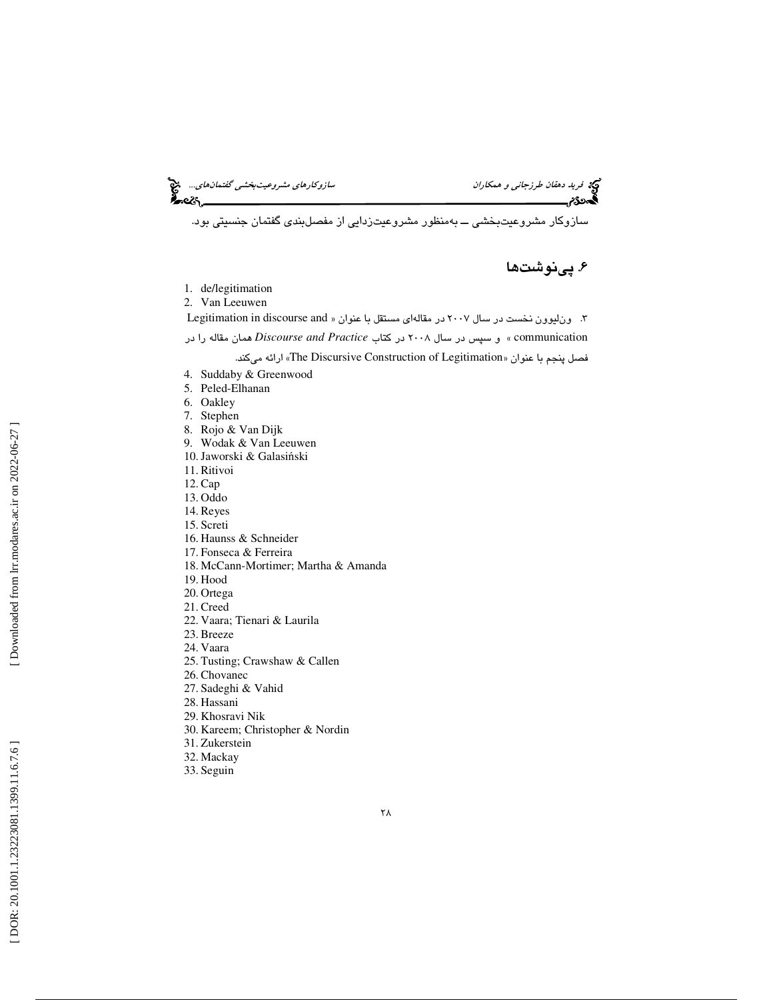فريد ده*قان طرزجاني و همكاران* سازوكارهاي مش*روعيت بخشي گفتمان هاي...*. ه<mark>ي</mark><br>**په در**گزار سازمان سازوكار مشترک به ايران سازوكارهاي مشروعيت *بخشي گفت*مان هم گفت به ايران به ايران به ايران به ايران<br>پايران به ايران به ايران ب

سازوكار مشروعيتبخشي ـــ بهمنظور مشروعيتزدايي از مفصلبندي گفتمان جنسيتي بود.

# 6. پينوشتها

- 1. de/legitimation 2. Van Leeuwen Legitimation in discourse and 3. ونليوون نخست در سال 2007 در مقالهاي مستقل با عنوان « communication « و سپس در سال 2008 در كتاب *Practice and Discourse* همان مقاله را در .ميكند ارائه » The Discursive Construction of Legitimation فصل پنجم با عنوان « 4. Suddaby & Greenwood 5. Peled-Elhanan 6. Oakley 7. Stephen 8. Rojo & Van Dijk
- 
- 9. Wodak & Van Leeuwen
- 10.Jaworski & Galasi ński
- 11. Ritivoi
- 12. Cap
- 13. Oddo 14. Reyes
- 15. Screti
- 
- 16. Haunss & Schneider 17. Fonseca & Ferreira
- 18. McCann-Mortimer; Martha & Amanda
- 19. Hood
- 20. Ortega
- 21. Creed
- 
- 22. Vaara; Tienari & Laurila
- 23. Breeze
- 24. Vaara
- 25. Tusting; Crawshaw & Callen
- 26. Chovanec
- 27. Sadeghi & Vahid
- 28. Hassani
- 29. Khosravi Nik
- 30. Kareem; Christopher & Nordin
- 31. Zukerstein
- 32. Mackay
- 33. Seguin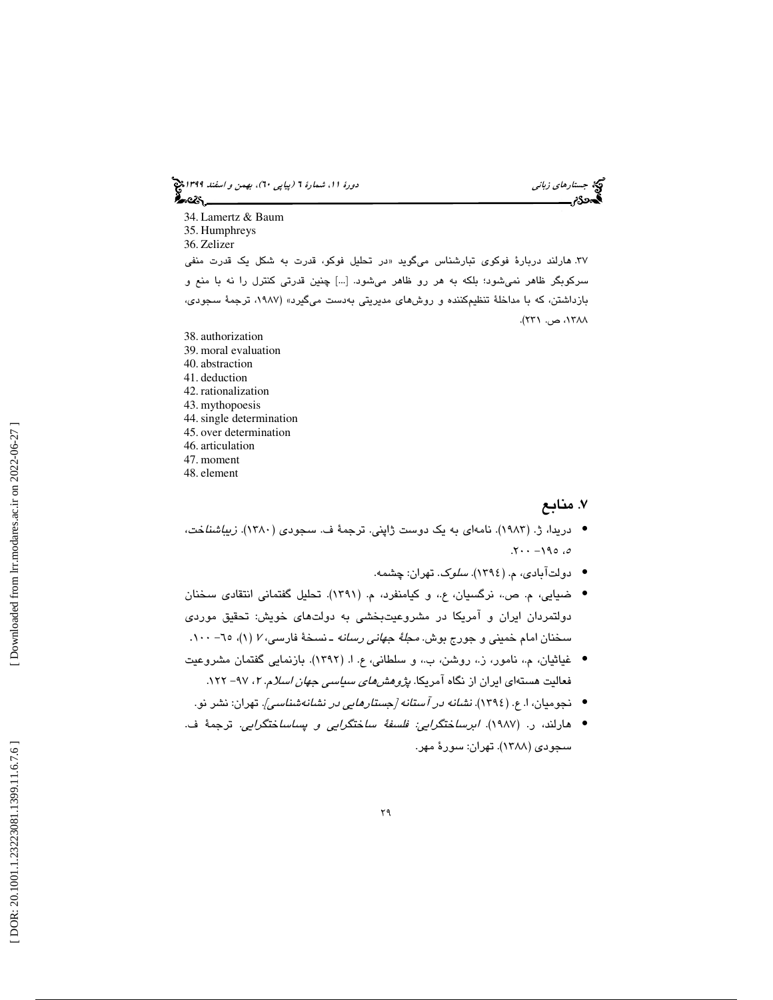جستار*هاي زباني (بياپي 60)، بهمن و اسفند 1*398 هجرا بياني دورة 11، شمارة 1 (پياپي ٢٠)، بهم*ن و اسفند 1*394 هج محمد

34. Lamertz & Baum 35. Humphreys 36. Zelizer ۳۷. هارلند دربارهٔ فوکوی تبارشناس میگوید «در تحلیل فوکو، قدرت به شکل یک قدرت منفی سركوبگر ظاهر نميشود؛ بلكه به هر رو ظاهر ميشود. [...] چنين قدرتي كنترل را نه با منع و بازداشتن، كه با مداخلة تنظيمكننده و روشهاي مديريتي بهدست ميگيرد» (،1987 ترجمة سجودي، ،1388 ص. 231 .)

- 38. authorization 39. moral evaluation 40. abstraction 41. deduction 42. rationalization 43. mythopoesis 44.single determination 45. over determination
- 46. articulation
- 47. moment
- 48. element

# 7. منابع

- دريدا، ژ. (١٩٨٣). نامهای به يک دوست ژاپني. ترجمهٔ ف. سجودی ( ١٣٨٠). *زيباشنا*خ*ت*،  $.7 \cdot -190.0$ 
	- دولتآبادی، م. (١٣٩٤). *سلوک*. تهران: چشمه.
- ضيايي، م. ص.، نرگسيان، ع.، و كيامنفرد، م. (١٣٩١). تحليل گفتماني انتقادي سخنان دولتمردان ايران و امريکا در مشروعيتبخشى به دولتهاى خويش: تحقيق موردى سخنان امام خمینی و جورج بوش. *مجلهٔ جهانی رسانه* ـ نسخهٔ فارسی، *۲ (*۱)، ۲۰– ۱۰۰.
- غياثيان، م،. نامور، ز،. روشن، ب،. و سلطاني، ع. ( ا. 1392). بازنمايي گفتمان مشروعيت فعالیت هستهای ایران از نگاه آمریکا. *پژوهشهای سیاسی جهان اسلا*م. ۲، ۹۷– ۱۲۲.
	- نجومیان، ا. ع. (١٣٩٤). ن*شانه در آستانه [جستارهایی در نشانهشناسی]*. تهران: نشر نو.
- هارلند، ر. (١٩٨٧). *ابرساختگرايئ فلسفهٔ ساختگرايي و پساساختگرايي.* ترجمهٔ ف. سجودي ( 1388 ). تهران: سورة مهر.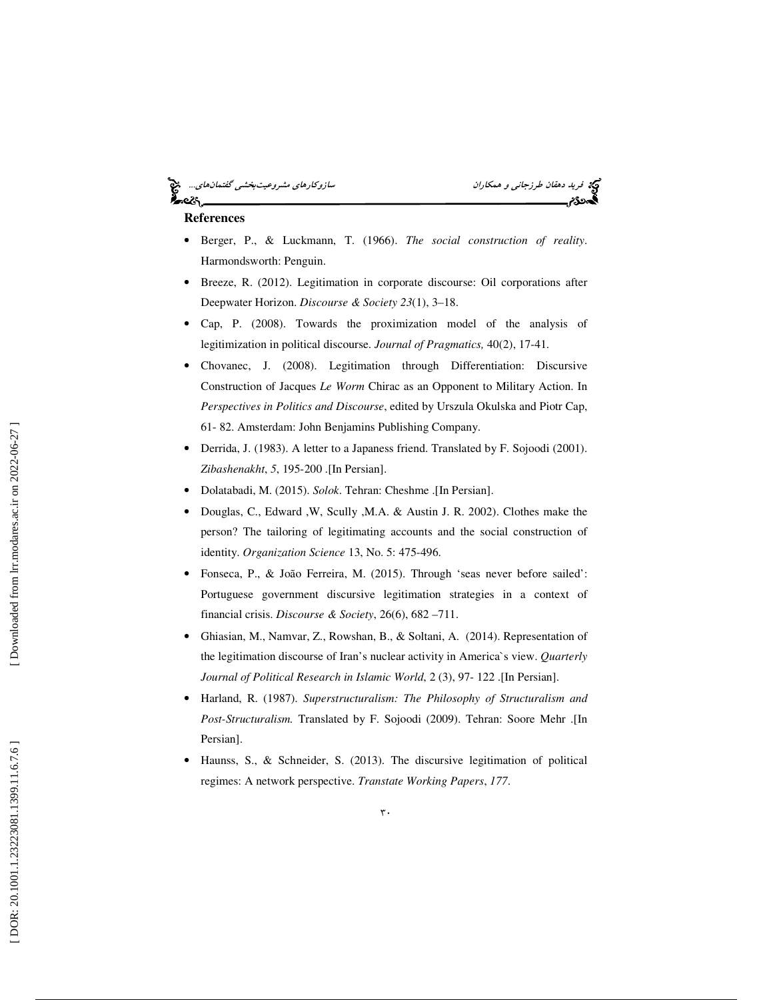# ⊷ટડ

فريد دهقان طرزجان*ي و همكاران* سازوكارهاي *مشروعيت بخشي گفتمان*هاي...<br>**پردي بازي سازوكاري بينما**ن بازي مشكل مشترك بينمايد بينمايد بينمايد بينمايد بينمايد بينمايد بينمايد بينمايد بينما

# **References**

- Berger, P., & Luckmann, T. (1966). *The social construction of reality*. Harmondsworth: Penguin.
- Breeze, R. (2012). Legitimation in corporate discourse: Oil corporations after Deepwater Horizon. *Discourse & Society 23*(1), 3–18.
- Cap, P. (2008). Towards the proximization model of the analysis of legitimization in political discourse. *Journal of Pragmatics,* 40(2), 17-41.
- Chovanec, J. (2008). Legitimation through Differentiation: Discursive Construction of Jacques *Le Worm* Chirac as an Opponent to Military Action. In *Perspectives in Politics and Discourse*, edited by Urszula Okulska and Piotr Cap, 61- 82. Amsterdam: John Benjamins Publishing Company.
- Derrida, J. (1983). A letter to a Japaness friend. Translated by F. Sojoodi (2001). *Zibashenakht*, *5*, 195-200 .[In Persian].
- Dolatabadi, M. (2015). *Solok*. Tehran: Cheshme .[In Persian].
- Douglas, C., Edward ,W, Scully ,M.A. & Austin J. R. 2002). Clothes make the person? The tailoring of legitimating accounts and the social construction of identity. *Organization Science* 13, No. 5: 475-496.
- Fonseca, P., & João Ferreira, M. (2015). Through 'seas never before sailed': Portuguese government discursive legitimation strategies in a context of financial crisis. *Discourse & Society*, 26(6), 682 –711.
- Ghiasian, M., Namvar, Z., Rowshan, B., & Soltani, A. (2014). Representation of the legitimation discourse of Iran's nuclear activity in America`s view. *Quarterly Journal of Political Research in Islamic World*, 2 (3), 97- 122 .[In Persian].
- Harland, R. (1987). *Superstructuralism: The Philosophy of Structuralism and Post-Structuralism.* Translated by F. Sojoodi (2009). Tehran: Soore Mehr .[In Persian].
- Haunss, S., & Schneider, S. (2013). The discursive legitimation of political regimes: A network perspective. *Transtate Working Papers*, *177*.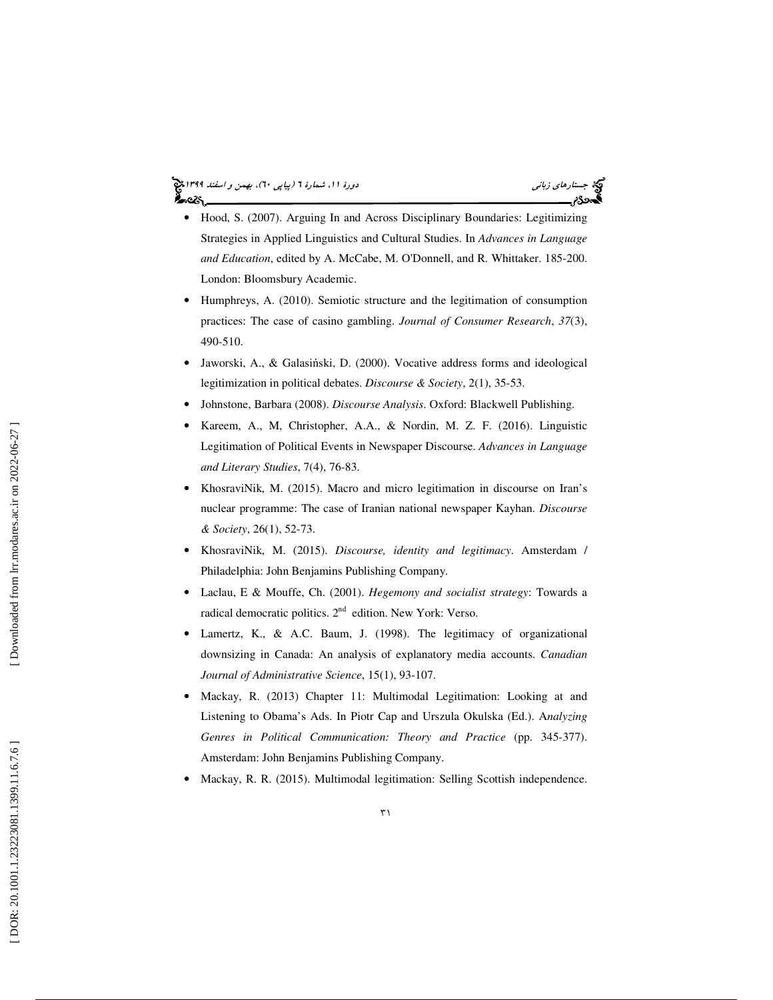### جستار*هاي زباني (بياپي 60)، بهمن و اسفند 1*398 هجرا بياني دورة 11، شمارة 1 (پياپي ٢٠)، بهم*ن و اسفند 1*394 هج ಹಿಂದಿ

- Hood, S. (2007). Arguing In and Across Disciplinary Boundaries: Legitimizing Strategies in Applied Linguistics and Cultural Studies. In *Advances in Language and Education*, edited by A. McCabe, M. O'Donnell, and R. Whittaker. 185-200. London: Bloomsbury Academic.
- Humphreys, A. (2010). Semiotic structure and the legitimation of consumption practices: The case of casino gambling. *Journal of Consumer Research*, *37*(3), 490-510.
- Jaworski, A., & Galasi ński, D. (2000). Vocative address forms and ideological legitimization in political debates. *Discourse & Society*, 2(1), 35-53.
- Johnstone, Barbara (2008). *Discourse Analysis*. Oxford: Blackwell Publishing.
- Kareem, A., M, Christopher, A.A., & Nordin, M. Z. F. (2016). Linguistic Legitimation of Political Events in Newspaper Discourse. *Advances in Language and Literary Studies*, 7(4), 76-83.
- KhosraviNik, M. (2015). Macro and micro legitimation in discourse on Iran's nuclear programme: The case of Iranian national newspaper Kayhan. *Discourse & Society*, 26(1), 52-73.
- KhosraviNik, M. (2015). *Discourse, identity and legitimacy*. Amsterdam / Philadelphia: John Benjamins Publishing Company.
- Laclau, E & Mouffe, Ch. (2001). *Hegemony and socialist strategy*: Towards a radical democratic politics.  $2<sup>nd</sup>$  edition. New York: Verso.
- Lamertz, K., & A.C. Baum, J. (1998). The legitimacy of organizational downsizing in Canada: An analysis of explanatory media accounts. *Canadian Journal of Administrative Science*, 15(1), 93-107.
- Mackay, R. (2013) Chapter 11: Multimodal Legitimation: Looking at and Listening to Obama's Ads. In Piotr Cap and Urszula Okulska (Ed.). A*nalyzing Genres in Political Communication: Theory and Practice* (pp. 345-377). Amsterdam: John Benjamins Publishing Company.
- Mackay, R. R. (2015). Multimodal legitimation: Selling Scottish independence.

 $\uparrow$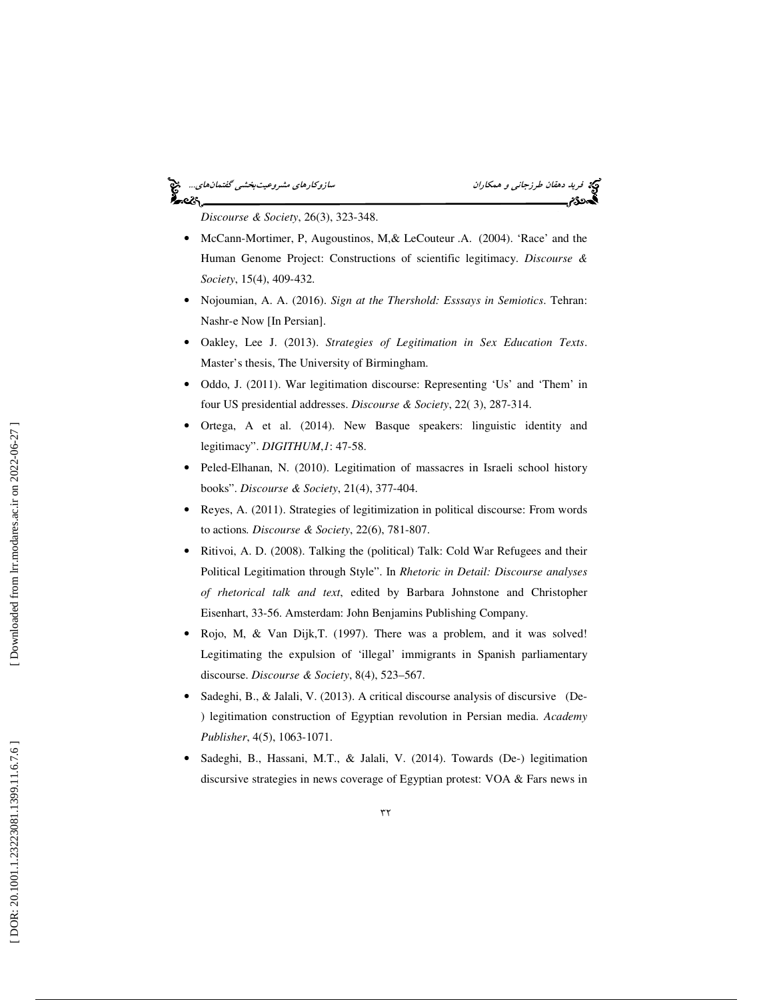# فريد دهقان طرزجان*ي و همكاران* سازوكارهاي مشروعيت بخشي گفتمانهاي...<br>**پردي با سازوكار سازول ميكاني** با مشهور كليم كان با مشهور كليم كان با مشهور كليم كان با مشهور كليم كان با ميكاني<br>پايان با سازول ميكاني با مشهور كليم كان ક<br>અવ્હે\

*Discourse & Society*, 26(3), 323-348.

- McCann-Mortimer, P, Augoustinos, M, & LeCouteur .A. (2004). 'Race' and the Human Genome Project: Constructions of scientific legitimacy. *Discourse & Society*, 15(4), 409-432.
- Nojoumian, A. A. (2016). *Sign at the Thershold: Esssays in Semiotics*. Tehran: Nashr-e Now [In Persian].
- Oakley, Lee J. (2013). *Strategies of Legitimation in Sex Education Texts*. Master's thesis, The University of Birmingham.
- Oddo, J. (2011). War legitimation discourse: Representing 'Us' and 'Them' in four US presidential addresses. *Discourse & Society*, 22( 3), 287-314.
- Ortega, A et al. (2014). New Basque speakers: linguistic identity and legitimacy". *DIGITHUM* , *1*: 47-58.
- Peled-Elhanan, N. (2010). Legitimation of massacres in Israeli school history books". *Discourse & Society*, 21(4), 377-404.
- Reyes, A. (2011). Strategies of legitimization in political discourse: From words to actions*. Discourse & Society*, 22(6), 781-807.
- Ritivoi, A. D. (2008). Talking the (political) Talk: Cold War Refugees and their Political Legitimation through Style". In *Rhetoric in Detail: Discourse analyses of rhetorical talk and text*, edited by Barbara Johnstone and Christopher Eisenhart, 33-56. Amsterdam: John Benjamins Publishing Company.
- Rojo, M, & Van Dijk,T. (1997). There was a problem, and it was solved! Legitimating the expulsion of 'illegal' immigrants in Spanish parliamentary discourse. *Discourse & Society*, 8(4), 523–567.
- Sadeghi, B., & Jalali, V. (2013). A critical discourse analysis of discursive (De- ) legitimation construction of Egyptian revolution in Persian media. *Academy Publisher*, 4(5), 1063-1071.
- Sadeghi, B., Hassani, M.T., & Jalali, V. (2014). Towards (De-) legitimation discursive strategies in news coverage of Egyptian protest: VOA & Fars news in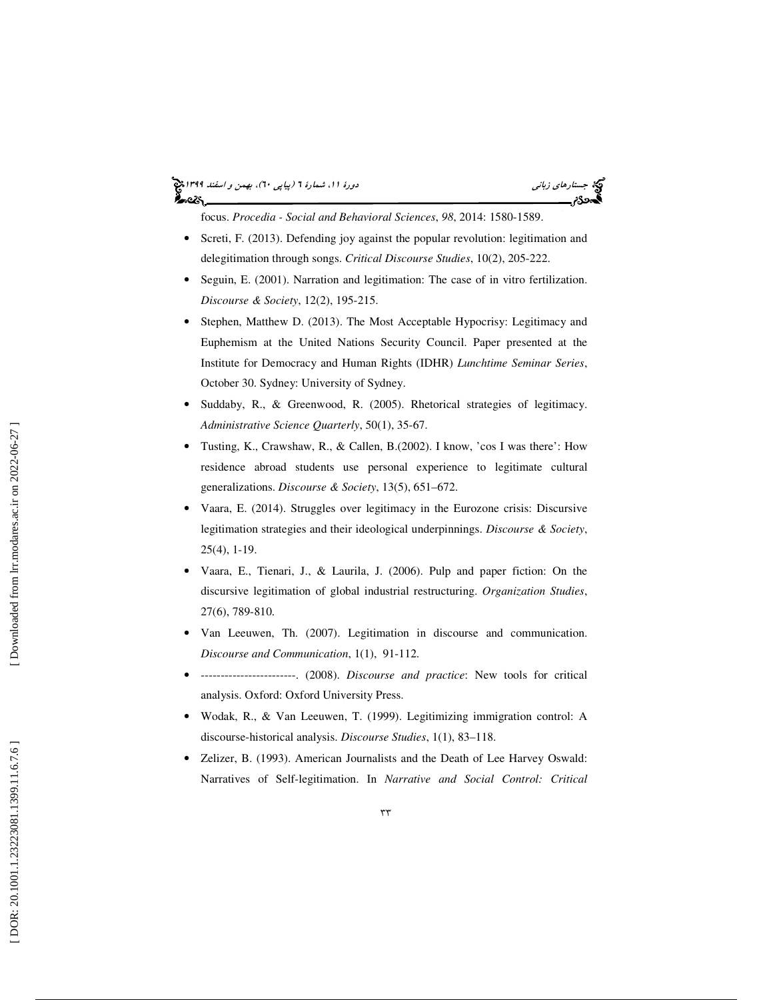#### جستار*هاي زباني (بياپي 60)، بهمن و اسفند 1*398 هجرا بياني دورة 11، شمارة 1 (پياپي ٢٠)، بهم*ن و اسفند 1*394 هج ಹಿಂದಿ

focus. *Procedia - Social and Behavioral Sciences*, *98*, 2014: 1580-1589.

- Screti, F. (2013). Defending joy against the popular revolution: legitimation and delegitimation through songs. *Critical Discourse Studies*, 10(2), 205-222.
- Seguin, E. (2001). Narration and legitimation: The case of in vitro fertilization. *Discourse & Society*, 12(2), 195-215.
- Stephen, Matthew D. (2013). The Most Acceptable Hypocrisy: Legitimacy and Euphemism at the United Nations Security Council. Paper presented at the Institute for Democracy and Human Rights (IDHR) *Lunchtime Seminar Series*, October 30. Sydney: University of Sydney.
- Suddaby, R., & Greenwood, R. (2005). Rhetorical strategies of legitimacy. *Administrative Science Quarterly*, 50(1), 35-67.
- Tusting, K., Crawshaw, R., & Callen, B.(2002). I know, 'cos I was there': How residence abroad students use personal experience to legitimate cultural generalizations. *Discourse & Society*, 13(5), 651–672.
- Vaara, E. (2014). Struggles over legitimacy in the Eurozone crisis: Discursive legitimation strategies and their ideological underpinnings. *Discourse & Society*, 25(4), 1-19.
- Vaara, E., Tienari, J., & Laurila, J. (2006). Pulp and paper fiction: On the discursive legitimation of global industrial restructuring. *Organization Studies*, 27(6), 789-810.
- Van Leeuwen, Th. (2007). Legitimation in discourse and communication. *Discourse and Communication*, 1(1), 91-112.
- ------------------------. (2008). *Discourse and practice*: New tools for critical analysis. Oxford: Oxford University Press.
- Wodak, R., & Van Leeuwen, T. (1999). Legitimizing immigration control: A discourse-historical analysis. *Discourse Studies*, 1(1), 83–118.
- Zelizer, B. (1993). American Journalists and the Death of Lee Harvey Oswald: Narratives of Self-legitimation. In *Narrative and Social Control: Critical*